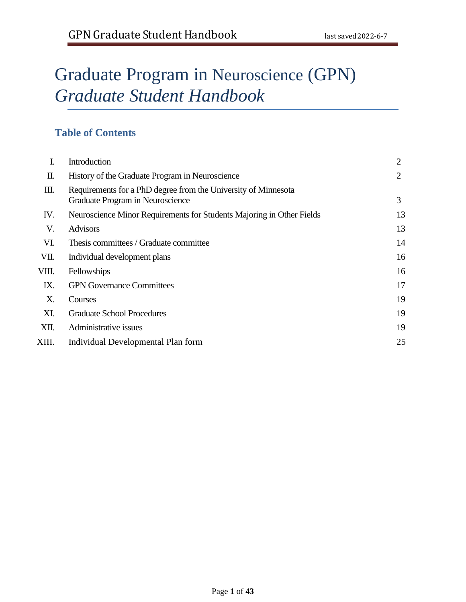# Graduate Program in Neuroscience (GPN) *Graduate Student Handbook*

# **Table of Contents**

| I.    | Introduction                                                                                       | 2  |
|-------|----------------------------------------------------------------------------------------------------|----|
| П.    | History of the Graduate Program in Neuroscience                                                    | 2  |
| Ш.    | Requirements for a PhD degree from the University of Minnesota<br>Graduate Program in Neuroscience | 3  |
| IV.   | Neuroscience Minor Requirements for Students Majoring in Other Fields                              | 13 |
| V.    | <b>Advisors</b>                                                                                    | 13 |
| VI.   | Thesis committees / Graduate committee                                                             | 14 |
| VII.  | Individual development plans                                                                       | 16 |
| VIII. | Fellowships                                                                                        | 16 |
| IX.   | <b>GPN Governance Committees</b>                                                                   | 17 |
| X.    | Courses                                                                                            | 19 |
| XI.   | <b>Graduate School Procedures</b>                                                                  | 19 |
| XII.  | Administrative issues                                                                              | 19 |
| XIII. | Individual Developmental Plan form                                                                 | 25 |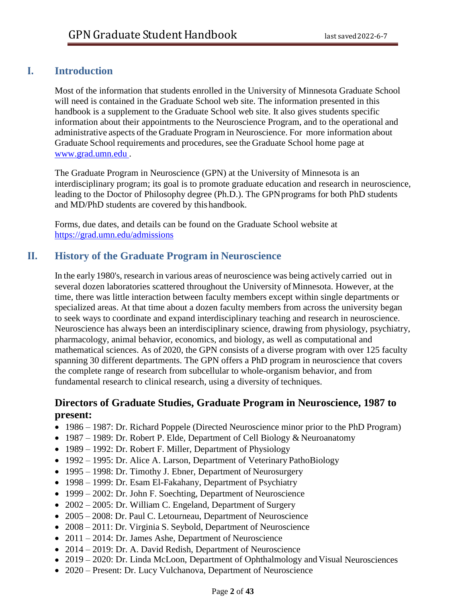## **I. Introduction**

Most of the information that students enrolled in the University of Minnesota Graduate School will need is contained in the Graduate School web site. The information presented in this handbook is a supplement to the Graduate School web site. It also gives students specific information about their appointments to the Neuroscience Program, and to the operational and administrative aspects of the Graduate Program in Neuroscience. For more information about Graduate School requirements and procedures, see the Graduate School home page at [www.grad.umn.edu](http://www.grad.umn.edu/) .

The Graduate Program in Neuroscience (GPN) at the University of Minnesota is an interdisciplinary program; its goal is to promote graduate education and research in neuroscience, leading to the Doctor of Philosophy degree (Ph.D.). The GPN programs for both PhD students and MD/PhD students are covered by this handbook.

Forms, due dates, and details can be found on the Graduate School website at <https://grad.umn.edu/admissions>

# **II. History of the Graduate Program in Neuroscience**

In the early 1980's, research in various areas of neuroscience was being actively carried out in several dozen laboratories scattered throughout the University ofMinnesota. However, at the time, there was little interaction between faculty members except within single departments or specialized areas. At that time about a dozen faculty members from across the university began to seek ways to coordinate and expand interdisciplinary teaching and research in neuroscience. Neuroscience has always been an interdisciplinary science, drawing from physiology, psychiatry, pharmacology, animal behavior, economics, and biology, as well as computational and mathematical sciences. As of 2020, the GPN consists of a diverse program with over 125 faculty spanning 30 different departments. The GPN offers a PhD program in neuroscience that covers the complete range of research from subcellular to whole-organism behavior, and from fundamental research to clinical research, using a diversity of techniques.

## **Directors of Graduate Studies, Graduate Program in Neuroscience, 1987 to present:**

- 1986 1987: Dr. Richard Poppele (Directed Neuroscience minor prior to the PhD Program)
- 1987 1989: Dr. Robert P. Elde, Department of Cell Biology & Neuroanatomy
- 1989 1992: Dr. Robert F. Miller, Department of Physiology
- 1992 1995: Dr. Alice A. Larson, Department of Veterinary PathoBiology
- 1995 1998: Dr. Timothy J. Ebner, Department of Neurosurgery
- 1998 1999: Dr. Esam El-Fakahany, Department of Psychiatry
- 1999 2002: Dr. John F. Soechting, Department of Neuroscience
- 2002 2005: Dr. William C. Engeland, Department of Surgery
- 2005 2008: Dr. Paul C. Letourneau, Department of Neuroscience
- 2008 2011: Dr. Virginia S. Seybold, Department of Neuroscience
- 2011 2014: Dr. James Ashe, Department of Neuroscience
- 2014 2019: Dr. A. David Redish, Department of Neuroscience
- 2019 2020: Dr. Linda McLoon, Department of Ophthalmology and Visual Neurosciences
- 2020 Present: Dr. Lucy Vulchanova, Department of Neuroscience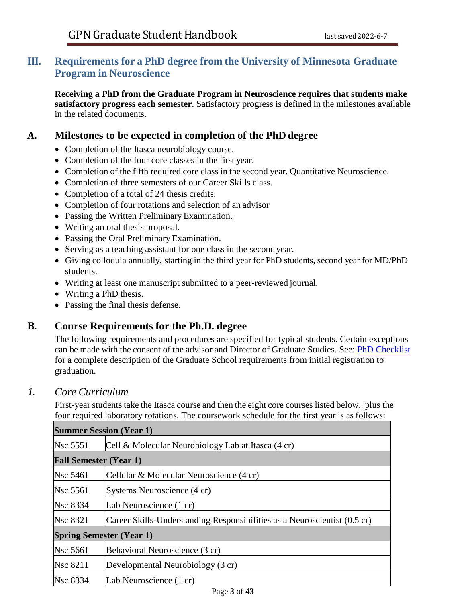## **III. Requirements for a PhD degree from the University of Minnesota Graduate Program in Neuroscience**

**Receiving a PhD from the Graduate Program in Neuroscience requires that students make satisfactory progress each semester**. Satisfactory progress is defined in the milestones available in the related documents.

## **A. Milestones to be expected in completion of the PhD degree**

- Completion of the Itasca neurobiology course.
- Completion of the four core classes in the first year.
- Completion of the fifth required core class in the second year, Quantitative Neuroscience.
- Completion of three semesters of our Career Skills class.
- Completion of a total of 24 thesis credits.
- Completion of four rotations and selection of an advisor
- Passing the Written Preliminary Examination.
- Writing an oral thesis proposal.
- Passing the Oral Preliminary Examination.
- Serving as a teaching assistant for one class in the second year.
- Giving colloquia annually, starting in the third year for PhD students, second year for MD/PhD students.
- Writing at least one manuscript submitted to a peer-reviewed journal.
- Writing a PhD thesis.
- Passing the final thesis defense.

## **B. Course Requirements for the Ph.D. degree**

The following requirements and procedures are specified for typical students. Certain exceptions can be made with the consent of the advisor and Director of Graduate Studies. See: [PhD Checklist](https://policy.umn.edu/education/doctoralperformance)  for a complete description of the Graduate School requirements from initial registration to graduation.

## *1. Core Curriculum*

First-year students take the Itasca course and then the eight core courses listed below, plus the four required laboratory rotations. The coursework schedule for the first year is as follows:

| <b>Summer Session (Year 1)</b> |                                                                           |  |  |  |
|--------------------------------|---------------------------------------------------------------------------|--|--|--|
| <b>Nsc 5551</b>                | Cell & Molecular Neurobiology Lab at Itasca (4 cr)                        |  |  |  |
|                                | <b>Fall Semester (Year 1)</b>                                             |  |  |  |
| <b>Nsc</b> 5461                | Cellular & Molecular Neuroscience (4 cr)                                  |  |  |  |
| <b>Nsc</b> 5561                | Systems Neuroscience (4 cr)                                               |  |  |  |
| <b>Nsc 8334</b>                | Lab Neuroscience (1 cr)                                                   |  |  |  |
| <b>Nsc 8321</b>                | Career Skills-Understanding Responsibilities as a Neuroscientist (0.5 cr) |  |  |  |
|                                | <b>Spring Semester (Year 1)</b>                                           |  |  |  |
| <b>Nsc</b> 5661                | Behavioral Neuroscience (3 cr)                                            |  |  |  |
| <b>Nsc 8211</b>                | Developmental Neurobiology (3 cr)                                         |  |  |  |
| <b>Nsc 8334</b>                | Lab Neuroscience (1 cr)                                                   |  |  |  |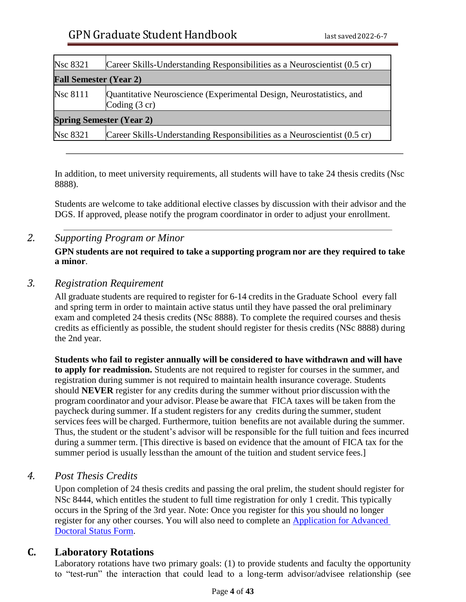| <b>Nsc 8321</b>                 | Career Skills-Understanding Responsibilities as a Neuroscientist (0.5 cr)                       |  |  |
|---------------------------------|-------------------------------------------------------------------------------------------------|--|--|
| <b>Fall Semester (Year 2)</b>   |                                                                                                 |  |  |
| <b>Nsc 8111</b>                 | Quantitative Neuroscience (Experimental Design, Neurostatistics, and<br>Coding $(3 \text{ cr})$ |  |  |
| <b>Spring Semester (Year 2)</b> |                                                                                                 |  |  |
| <b>Nsc 8321</b>                 | Career Skills-Understanding Responsibilities as a Neuroscientist (0.5 cr)                       |  |  |

In addition, to meet university requirements, all students will have to take 24 thesis credits (Nsc 8888).

Students are welcome to take additional elective classes by discussion with their advisor and the DGS. If approved, please notify the program coordinator in order to adjust your enrollment.

## *2. Supporting Program or Minor*

**GPN students are not required to take a supporting program nor are they required to take a minor**.

## *3. Registration Requirement*

All graduate students are required to register for 6-14 credits in the Graduate School every fall and spring term in order to maintain active status until they have passed the oral preliminary exam and completed 24 thesis credits (NSc 8888). To complete the required courses and thesis credits as efficiently as possible, the student should register for thesis credits (NSc 8888) during the 2nd year.

**Students who fail to register annually will be considered to have withdrawn and will have to apply for readmission.** Students are not required to register for courses in the summer, and registration during summer is not required to maintain health insurance coverage. Students should **NEVER** register for any credits during the summer without prior discussion with the program coordinator and your advisor. Please be aware that FICA taxes will be taken from the paycheck during summer. If a student registers for any credits during the summer, student services fees will be charged. Furthermore, tuition benefits are not available during the summer. Thus, the student or the student's advisor will be responsible for the full tuition and fees incurred during a summer term. [This directive is based on evidence that the amount of FICA tax for the summer period is usually lessthan the amount of the tuition and student service fees.]

## *4. Post Thesis Credits*

Upon completion of 24 thesis credits and passing the oral prelim, the student should register for NSc 8444, which entitles the student to full time registration for only 1 credit. This typically occurs in the Spring of the 3rd year. Note: Once you register for this you should no longer register for any other courses. You will also need to complete an [Application for Advanced](https://onestop.umn.edu/sites/onestop.umn.edu/files/forms/otr195_application_for_advanced_doctoral_status_0.pdf)  [Doctoral Status Form.](https://onestop.umn.edu/sites/onestop.umn.edu/files/forms/otr195_application_for_advanced_doctoral_status_0.pdf)

## **C. Laboratory Rotations**

<span id="page-3-0"></span>Laboratory rotations have two primary goals: (1) to provide students and faculty the opportunity to "test-run" the interaction that could lead to a long-term advisor/advisee relationship (see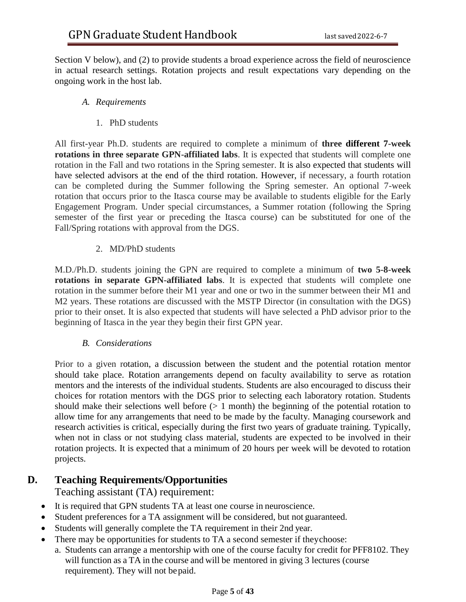Section V below), and (2) to provide students a broad experience across the field of neuroscience in actual research settings. Rotation projects and result expectations vary depending on the ongoing work in the host lab.

#### *A. Requirements*

1. PhD students

All first-year Ph.D. students are required to complete a minimum of **three different 7-week rotations in three separate GPN-affiliated labs**. It is expected that students will complete one rotation in the Fall and two rotations in the Spring semester. It is also expected that students will have selected advisors at the end of the third rotation. However, if necessary, a fourth rotation can be completed during the Summer following the Spring semester. An optional 7-week rotation that occurs prior to the Itasca course may be available to students eligible for the Early Engagement Program. Under special circumstances, a Summer rotation (following the Spring semester of the first year or preceding the Itasca course) can be substituted for one of the Fall/Spring rotations with approval from the DGS.

#### 2. MD/PhD students

M.D./Ph.D. students joining the GPN are required to complete a minimum of **two 5-8-week rotations in separate GPN-affiliated labs**. It is expected that students will complete one rotation in the summer before their M1 year and one or two in the summer between their M1 and M2 years. These rotations are discussed with the MSTP Director (in consultation with the DGS) prior to their onset. It is also expected that students will have selected a PhD advisor prior to the beginning of Itasca in the year they begin their first GPN year.

#### *B. Considerations*

Prior to a given rotation, a discussion between the student and the potential rotation mentor should take place. Rotation arrangements depend on faculty availability to serve as rotation mentors and the interests of the individual students. Students are also encouraged to discuss their choices for rotation mentors with the DGS prior to selecting each laboratory rotation. Students should make their selections well before  $(> 1 \text{ month})$  the beginning of the potential rotation to allow time for any arrangements that need to be made by the faculty. Managing coursework and research activities is critical, especially during the first two years of graduate training. Typically, when not in class or not studying class material, students are expected to be involved in their rotation projects. It is expected that a minimum of 20 hours per week will be devoted to rotation projects.

## **D. Teaching Requirements/Opportunities**

Teaching assistant (TA) requirement:

- It is required that GPN students TA at least one course in neuroscience.
- Student preferences for a TA assignment will be considered, but not guaranteed.
- Students will generally complete the TA requirement in their 2nd year.
- There may be opportunities for students to TA a second semester if theychoose:
	- a. Students can arrange a mentorship with one of the course faculty for credit for PFF8102. They will function as a TA in the course and will be mentored in giving 3 lectures (course requirement). They will not bepaid.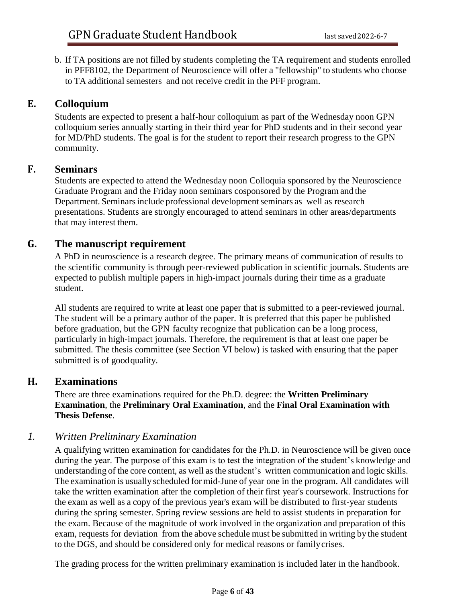b. If TA positions are not filled by students completing the TA requirement and students enrolled in PFF8102, the Department of Neuroscience will offer a "fellowship" to students who choose to TA additional semesters and not receive credit in the PFF program.

## **E. Colloquium**

Students are expected to present a half-hour colloquium as part of the Wednesday noon GPN colloquium series annually starting in their third year for PhD students and in their second year for MD/PhD students. The goal is for the student to report their research progress to the GPN community.

## **F. Seminars**

Students are expected to attend the Wednesday noon Colloquia sponsored by the Neuroscience Graduate Program and the Friday noon seminars cosponsored by the Program and the Department. Seminars include professional development seminars as well as research presentations. Students are strongly encouraged to attend seminars in other areas/departments that may interest them.

## **G. The manuscript requirement**

A PhD in neuroscience is a research degree. The primary means of communication of results to the scientific community is through peer-reviewed publication in scientific journals. Students are expected to publish multiple papers in high-impact journals during their time as a graduate student.

All students are required to write at least one paper that is submitted to a peer-reviewed journal. The student will be a primary author of the paper. It is preferred that this paper be published before graduation, but the GPN faculty recognize that publication can be a long process, particularly in high-impact journals. Therefore, the requirement is that at least one paper be submitted. The thesis committee (see Section VI below) is tasked with ensuring that the paper submitted is of goodquality.

## **H. Examinations**

There are three examinations required for the Ph.D. degree: the **Written Preliminary Examination**, the **Preliminary Oral Examination**, and the **Final Oral Examination with Thesis Defense**.

## *1. Written Preliminary Examination*

A qualifying written examination for candidates for the Ph.D. in Neuroscience will be given once during the year. The purpose of this exam is to test the integration of the student's knowledge and understanding of the core content, as well as the student's written communication and logic skills. The examination is usually scheduled for mid-June of year one in the program. All candidates will take the written examination after the completion of their first year's coursework. Instructions for the exam as well as a copy of the previous year's exam will be distributed to first-year students during the spring semester. Spring review sessions are held to assist students in preparation for the exam. Because of the magnitude of work involved in the organization and preparation of this exam, requests for deviation from the above schedule must be submitted in writing by the student to the DGS, and should be considered only for medical reasons or familycrises.

The grading process for the written preliminary examination is included later in the handbook.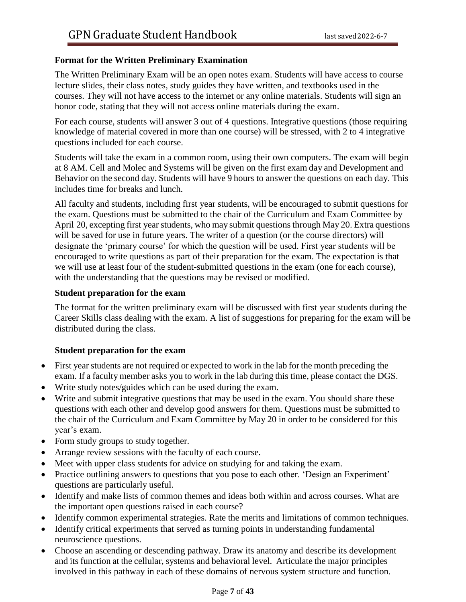#### **Format for the Written Preliminary Examination**

The Written Preliminary Exam will be an open notes exam. Students will have access to course lecture slides, their class notes, study guides they have written, and textbooks used in the courses. They will not have access to the internet or any online materials. Students will sign an honor code, stating that they will not access online materials during the exam.

For each course, students will answer 3 out of 4 questions. Integrative questions (those requiring knowledge of material covered in more than one course) will be stressed, with 2 to 4 integrative questions included for each course.

Students will take the exam in a common room, using their own computers. The exam will begin at 8 AM. Cell and Molec and Systems will be given on the first exam day and Development and Behavior on the second day. Students will have 9 hours to answer the questions on each day. This includes time for breaks and lunch.

All faculty and students, including first year students, will be encouraged to submit questions for the exam. Questions must be submitted to the chair of the Curriculum and Exam Committee by April 20, excepting first year students, who may submit questions through May 20. Extra questions will be saved for use in future years. The writer of a question (or the course directors) will designate the 'primary course' for which the question will be used. First year students will be encouraged to write questions as part of their preparation for the exam. The expectation is that we will use at least four of the student-submitted questions in the exam (one for each course), with the understanding that the questions may be revised or modified.

#### **Student preparation for the exam**

The format for the written preliminary exam will be discussed with first year students during the Career Skills class dealing with the exam. A list of suggestions for preparing for the exam will be distributed during the class.

#### **Student preparation for the exam**

- First year students are not required or expected to work in the lab for the month preceding the exam. If a faculty member asks you to work in the lab during this time, please contact the DGS.
- Write study notes/guides which can be used during the exam.
- Write and submit integrative questions that may be used in the exam. You should share these questions with each other and develop good answers for them. Questions must be submitted to the chair of the Curriculum and Exam Committee by May 20 in order to be considered for this year's exam.
- Form study groups to study together.
- Arrange review sessions with the faculty of each course.
- Meet with upper class students for advice on studying for and taking the exam.
- Practice outlining answers to questions that you pose to each other. 'Design an Experiment' questions are particularly useful.
- Identify and make lists of common themes and ideas both within and across courses. What are the important open questions raised in each course?
- Identify common experimental strategies. Rate the merits and limitations of common techniques.
- Identify critical experiments that served as turning points in understanding fundamental neuroscience questions.
- Choose an ascending or descending pathway. Draw its anatomy and describe its development and its function at the cellular, systems and behavioral level. Articulate the major principles involved in this pathway in each of these domains of nervous system structure and function.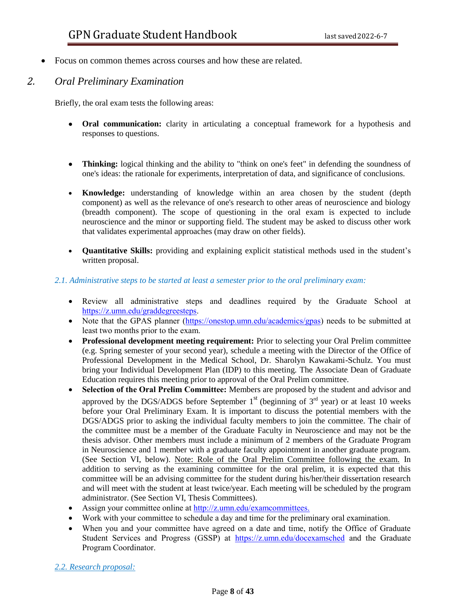• Focus on common themes across courses and how these are related.

## *2. Oral Preliminary Examination*

Briefly, the oral exam tests the following areas:

- **Oral communication:** clarity in articulating a conceptual framework for a hypothesis and responses to questions.
- **Thinking:** logical thinking and the ability to "think on one's feet" in defending the soundness of one's ideas: the rationale for experiments, interpretation of data, and significance of conclusions.
- **Knowledge:** understanding of knowledge within an area chosen by the student (depth component) as well as the relevance of one's research to other areas of neuroscience and biology (breadth component). The scope of questioning in the oral exam is expected to include neuroscience and the minor or supporting field. The student may be asked to discuss other work that validates experimental approaches (may draw on other fields).
- **Quantitative Skills:** providing and explaining explicit statistical methods used in the student's written proposal.

#### *2.1. Administrative steps to be started at least a semester prior to the oral preliminary exam:*

- Review all administrative steps and deadlines required by the Graduate School at [https://z.umn.edu/graddegreesteps.](https://z.umn.edu/graddegreesteps)
- Note that the GPAS planner [\(https://onestop.umn.edu/academics/gpas\)](https://onestop.umn.edu/academics/gpas) needs to be submitted at least two months prior to the exam.
- **Professional development meeting requirement:** Prior to selecting your Oral Prelim committee (e.g. Spring semester of your second year), schedule a meeting with the Director of the Office of Professional Development in the Medical School, Dr. Sharolyn Kawakami-Schulz. You must bring your Individual Development Plan (IDP) to this meeting. The Associate Dean of Graduate Education requires this meeting prior to approval of the Oral Prelim committee.
- **Selection of the Oral Prelim Committee:** Members are proposed by the student and advisor and approved by the DGS/ADGS before September  $1<sup>st</sup>$  (beginning of  $3<sup>rd</sup>$  year) or at least 10 weeks before your Oral Preliminary Exam. It is important to discuss the potential members with the DGS/ADGS prior to asking the individual faculty members to join the committee. The chair of the committee must be a member of the Graduate Faculty in Neuroscience and may not be the thesis advisor. Other members must include a minimum of 2 members of the Graduate Program in Neuroscience and 1 member with a graduate faculty appointment in another graduate program. (See Section VI, below). Note: Role of the Oral Prelim Committee following the exam. In addition to serving as the examining committee for the oral prelim, it is expected that this committee will be an advising committee for the student during his/her/their dissertation research and will meet with the student at least twice/year. Each meeting will be scheduled by the program administrator. (See Section VI, Thesis Committees).
- Assign your committee online at [http://z.umn.edu/examcommittees.](http://z.umn.edu/examcommittees)
- Work with your committee to schedule a day and time for the preliminary oral examination.
- When you and your committee have agreed on a date and time, notify the Office of Graduate Student Services and Progress (GSSP) at <https://z.umn.edu/docexamsched> and the Graduate Program Coordinator.

#### *2.2. Research proposal:*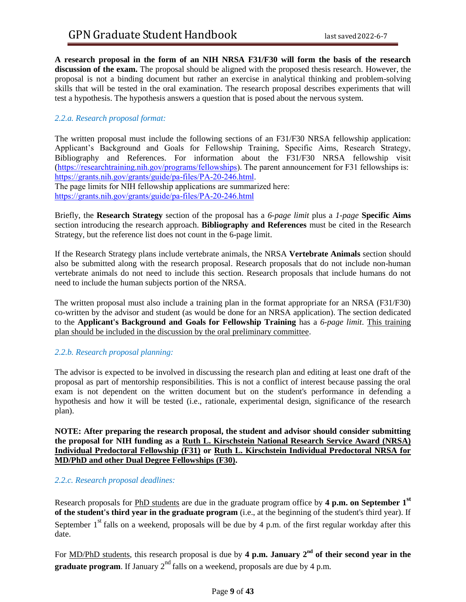**A research proposal in the form of an NIH NRSA F31/F30 will form the basis of the research discussion of the exam.** The proposal should be aligned with the proposed thesis research. However, the proposal is not a binding document but rather an exercise in analytical thinking and problem-solving skills that will be tested in the oral examination. The research proposal describes experiments that will test a hypothesis. The hypothesis answers a question that is posed about the nervous system.

#### *2.2.a. Research proposal format:*

The written proposal must include the following sections of an F31/F30 NRSA fellowship application: Applicant's Background and Goals for Fellowship Training, Specific Aims, Research Strategy, Bibliography and References. For information about the F31/F30 NRSA fellowship visit ([https://researchtraining.nih.gov/programs/fellowships\)](https://researchtraining.nih.gov/programs/fellowships). The parent announcement for F31 fellowships is: [https://grants.nih.gov/grants/guide/pa-files/PA-20-246.html.](https://grants.nih.gov/grants/guide/pa-files/PA-20-246.html)

The page limits for NIH fellowship applications are summarized here: <https://grants.nih.gov/grants/guide/pa-files/PA-20-246.html>

Briefly, the **Research Strategy** section of the proposal has a *6-page limit* plus a *1-page* **Specific Aims** section introducing the research approach. **Bibliography and References** must be cited in the Research Strategy, but the reference list does not count in the 6-page limit.

If the Research Strategy plans include vertebrate animals, the NRSA **Vertebrate Animals** section should also be submitted along with the research proposal. Research proposals that do not include non-human vertebrate animals do not need to include this section. Research proposals that include humans do not need to include the human subjects portion of the NRSA.

The written proposal must also include a training plan in the format appropriate for an NRSA (F31/F30) co-written by the advisor and student (as would be done for an NRSA application). The section dedicated to the **Applicant's Background and Goals for Fellowship Training** has a *6-page limit*. This training plan should be included in the discussion by the oral preliminary committee.

#### *2.2.b. Research proposal planning:*

The advisor is expected to be involved in discussing the research plan and editing at least one draft of the proposal as part of mentorship responsibilities. This is not a conflict of interest because passing the oral exam is not dependent on the written document but on the student's performance in defending a hypothesis and how it will be tested (i.e., rationale, experimental design, significance of the research plan).

**NOTE: After preparing the research proposal, the student and advisor should consider submitting the proposal for NIH funding as a Ruth L. Kirschstein National Research Service Award (NRSA) Individual Predoctoral Fellowship (F31) or Ruth L. Kirschstein Individual Predoctoral NRSA for MD/PhD and other Dual Degree Fellowships (F30).**

#### *2.2.c. Research proposal deadlines:*

Research proposals for PhD students are due in the graduate program office by **4 p.m. on September 1st of the student's third year in the graduate program** (i.e., at the beginning of the student's third year). If September  $1<sup>st</sup>$  falls on a weekend, proposals will be due by 4 p.m. of the first regular workday after this date.

For MD/PhD students, this research proposal is due by 4 p.m. January 2<sup>nd</sup> of their second year in the **graduate program**. If January 2<sup>nd</sup> falls on a weekend, proposals are due by 4 p.m.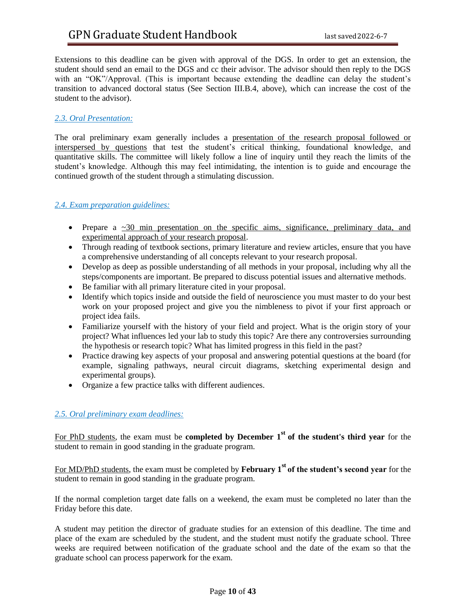Extensions to this deadline can be given with approval of the DGS. In order to get an extension, the student should send an email to the DGS and cc their advisor. The advisor should then reply to the DGS with an "OK"/Approval. (This is important because extending the deadline can delay the student's transition to advanced doctoral status (See Section III.B.4, above), which can increase the cost of the student to the advisor).

#### *2.3. Oral Presentation:*

The oral preliminary exam generally includes a presentation of the research proposal followed or interspersed by questions that test the student's critical thinking, foundational knowledge, and quantitative skills. The committee will likely follow a line of inquiry until they reach the limits of the student's knowledge. Although this may feel intimidating, the intention is to guide and encourage the continued growth of the student through a stimulating discussion.

#### *2.4. Exam preparation guidelines:*

- Prepare a  $\sim$  30 min presentation on the specific aims, significance, preliminary data, and experimental approach of your research proposal.
- Through reading of textbook sections, primary literature and review articles, ensure that you have a comprehensive understanding of all concepts relevant to your research proposal.
- Develop as deep as possible understanding of all methods in your proposal, including why all the steps/components are important. Be prepared to discuss potential issues and alternative methods.
- Be familiar with all primary literature cited in your proposal.
- Identify which topics inside and outside the field of neuroscience you must master to do your best work on your proposed project and give you the nimbleness to pivot if your first approach or project idea fails.
- Familiarize yourself with the history of your field and project. What is the origin story of your project? What influences led your lab to study this topic? Are there any controversies surrounding the hypothesis or research topic? What has limited progress in this field in the past?
- Practice drawing key aspects of your proposal and answering potential questions at the board (for example, signaling pathways, neural circuit diagrams, sketching experimental design and experimental groups).
- Organize a few practice talks with different audiences.

#### *2.5. Oral preliminary exam deadlines:*

For PhD students, the exam must be **completed by December 1<sup>st</sup> of the student's third year** for the student to remain in good standing in the graduate program.

For MD/PhD students, the exam must be completed by **February 1st of the student's second year** for the student to remain in good standing in the graduate program.

If the normal completion target date falls on a weekend, the exam must be completed no later than the Friday before this date.

A student may petition the director of graduate studies for an extension of this deadline. The time and place of the exam are scheduled by the student, and the student must notify the graduate school. Three weeks are required between notification of the graduate school and the date of the exam so that the graduate school can process paperwork for the exam.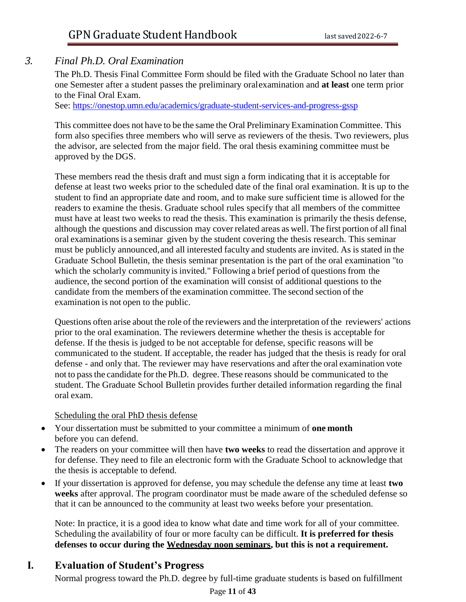## *3. Final Ph.D. Oral Examination*

The Ph.D. Thesis Final Committee Form should be filed with the Graduate School no later than one Semester after a student passes the preliminary oralexamination and **at least** one term prior to the Final Oral Exam.

See: <https://onestop.umn.edu/academics/graduate-student-services-and-progress-gssp>

This committee does not have to be the same the Oral Preliminary Examination Committee. This form also specifies three members who will serve as reviewers of the thesis. Two reviewers, plus the advisor, are selected from the major field. The oral thesis examining committee must be approved by the DGS.

These members read the thesis draft and must sign a form indicating that it is acceptable for defense at least two weeks prior to the scheduled date of the final oral examination. It is up to the student to find an appropriate date and room, and to make sure sufficient time is allowed for the readers to examine the thesis. Graduate school rules specify that all members of the committee must have at least two weeks to read the thesis. This examination is primarily the thesis defense, although the questions and discussion may cover related areas as well. The first portion of all final oral examinationsis a seminar given by the student covering the thesis research. This seminar must be publicly announced,and all interested faculty and students are invited. As is stated in the Graduate School Bulletin, the thesis seminar presentation is the part of the oral examination "to which the scholarly community is invited." Following a brief period of questions from the audience, the second portion of the examination will consist of additional questions to the candidate from the members of the examination committee. The second section of the examination is not open to the public.

Questions often arise about the role of the reviewers and the interpretation of the reviewers' actions prior to the oral examination. The reviewers determine whether the thesis is acceptable for defense. If the thesis is judged to be not acceptable for defense, specific reasons will be communicated to the student. If acceptable, the reader has judged that the thesis is ready for oral defense - and only that. The reviewer may have reservations and after the oral examination vote not to passthe candidate for the Ph.D. degree. These reasons should be communicated to the student. The Graduate School Bulletin provides further detailed information regarding the final oral exam.

Scheduling the oral PhD thesis defense

- Your dissertation must be submitted to your committee a minimum of **one month** before you can defend.
- The readers on your committee will then have **two weeks** to read the dissertation and approve it for defense. They need to file an electronic form with the Graduate School to acknowledge that the thesis is acceptable to defend.
- If your dissertation is approved for defense, you may schedule the defense any time at least **two weeks** after approval. The program coordinator must be made aware of the scheduled defense so that it can be announced to the community at least two weeks before your presentation.

Note: In practice, it is a good idea to know what date and time work for all of your committee. Scheduling the availability of four or more faculty can be difficult. **It is preferred for thesis defenses to occur during the Wednesday noon seminars, but this is not a requirement.**

# **I. Evaluation of Student's Progress**

Normal progress toward the Ph.D. degree by full-time graduate students is based on fulfillment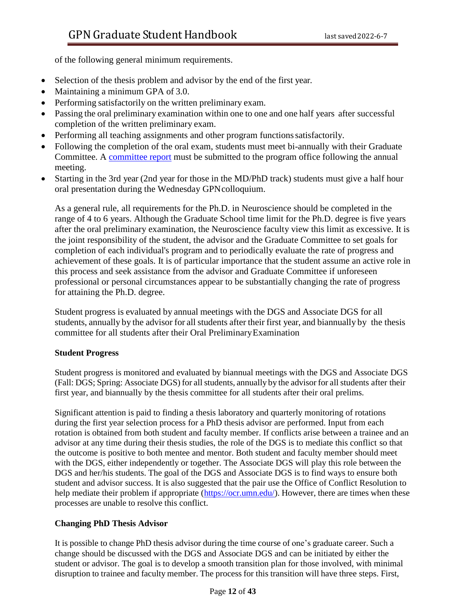of the following general minimum requirements.

- Selection of the thesis problem and advisor by the end of the first year.
- Maintaining a minimum GPA of 3.0.
- Performing satisfactorily on the written preliminary exam.
- Passing the oral preliminary examination within one to one and one half years after successful completion of the written preliminary exam.
- Performing all teaching assignments and other program functions satisfactorily.
- Following the completion of the oral exam, students must meet bi-annually with their Graduate Committee. A committee report must be submitted to the program office following the annual meeting.
- Starting in the 3rd year (2nd year for those in the MD/PhD track) students must give a half hour oral presentation during the Wednesday GPNcolloquium.

As a general rule, all requirements for the Ph.D. in Neuroscience should be completed in the range of 4 to 6 years. Although the Graduate School time limit for the Ph.D. degree is five years after the oral preliminary examination, the Neuroscience faculty view this limit as excessive. It is the joint responsibility of the student, the advisor and the Graduate Committee to set goals for completion of each individual's program and to periodically evaluate the rate of progress and achievement of these goals. It is of particular importance that the student assume an active role in this process and seek assistance from the advisor and Graduate Committee if unforeseen professional or personal circumstances appear to be substantially changing the rate of progress for attaining the Ph.D. degree.

Student progress is evaluated by annual meetings with the DGS and Associate DGS for all students, annually by the advisor for all students after their first year, and biannually by the thesis committee for all students after their Oral PreliminaryExamination

#### **Student Progress**

Student progress is monitored and evaluated by biannual meetings with the DGS and Associate DGS (Fall: DGS; Spring: Associate DGS) for allstudents, annually by the advisor for all students after their first year, and biannually by the thesis committee for all students after their oral prelims.

Significant attention is paid to finding a thesis laboratory and quarterly monitoring of rotations during the first year selection process for a PhD thesis advisor are performed. Input from each rotation is obtained from both student and faculty member. If conflicts arise between a trainee and an advisor at any time during their thesis studies, the role of the DGS is to mediate this conflict so that the outcome is positive to both mentee and mentor. Both student and faculty member should meet with the DGS, either independently or together. The Associate DGS will play this role between the DGS and her/his students. The goal of the DGS and Associate DGS is to find ways to ensure both student and advisor success. It is also suggested that the pair use the Office of Conflict Resolution to help mediate their problem if appropriate [\(https://ocr.umn.edu/\)](https://ocr.umn.edu/). However, there are times when these processes are unable to resolve this conflict.

#### **Changing PhD Thesis Advisor**

It is possible to change PhD thesis advisor during the time course of one's graduate career. Such a change should be discussed with the DGS and Associate DGS and can be initiated by either the student or advisor. The goal is to develop a smooth transition plan for those involved, with minimal disruption to trainee and faculty member. The process for this transition will have three steps. First,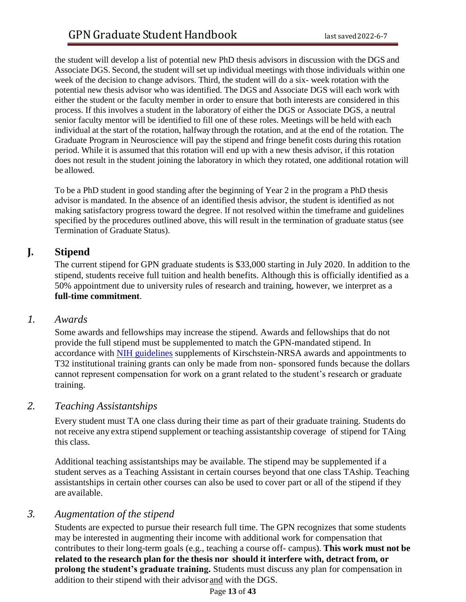the student will develop a list of potential new PhD thesis advisors in discussion with the DGS and Associate DGS. Second, the student will set up individual meetings with those individuals within one week of the decision to change advisors. Third, the student will do a six- week rotation with the potential new thesis advisor who was identified. The DGS and Associate DGS will each work with either the student or the faculty member in order to ensure that both interests are considered in this process. If this involves a student in the laboratory of either the DGS or Associate DGS, a neutral senior faculty mentor will be identified to fill one of these roles. Meetings will be held with each individual at the start of the rotation, halfway through the rotation, and at the end of the rotation. The Graduate Program in Neuroscience will pay the stipend and fringe benefit costs during this rotation period. While it is assumed that this rotation will end up with a new thesis advisor, if this rotation does not result in the student joining the laboratory in which they rotated, one additional rotation will be allowed.

To be a PhD student in good standing after the beginning of Year 2 in the program a PhD thesis advisor is mandated. In the absence of an identified thesis advisor, the student is identified as not making satisfactory progress toward the degree. If not resolved within the timeframe and guidelines specified by the procedures outlined above, this will result in the termination of graduate status (see Termination of Graduate Status).

## **J. Stipend**

The current stipend for GPN graduate students is \$33,000 starting in July 2020. In addition to the stipend, students receive full tuition and health benefits. Although this is officially identified as a 50% appointment due to university rules of research and training, however, we interpret as a **full-time commitment**.

## *1. Awards*

Some awards and fellowships may increase the stipend. Awards and fellowships that do not provide the full stipend must be supplemented to match the GPN-mandated stipend. In accordance with [NIH guidelines](https://grants.nih.gov/grants/oer.htm) supplements of Kirschstein-NRSA awards and appointments to T32 institutional training grants can only be made from non- sponsored funds because the dollars cannot represent compensation for work on a grant related to the student's research or graduate training.

## *2. Teaching Assistantships*

Every student must TA one class during their time as part of their graduate training. Students do not receive any extra stipend supplement or teaching assistantship coverage of stipend for TAing this class.

Additional teaching assistantships may be available. The stipend may be supplemented if a student serves as a Teaching Assistant in certain courses beyond that one class TAship. Teaching assistantships in certain other courses can also be used to cover part or all of the stipend if they are available.

## *3. Augmentation of the stipend*

Students are expected to pursue their research full time. The GPN recognizes that some students may be interested in augmenting their income with additional work for compensation that contributes to their long-term goals (e.g., teaching a course off- campus). **This work must not be related to the research plan for the thesis nor should it interfere with, detract from, or prolong the student's graduate training.** Students must discuss any plan for compensation in addition to their stipend with their advisor and with the DGS.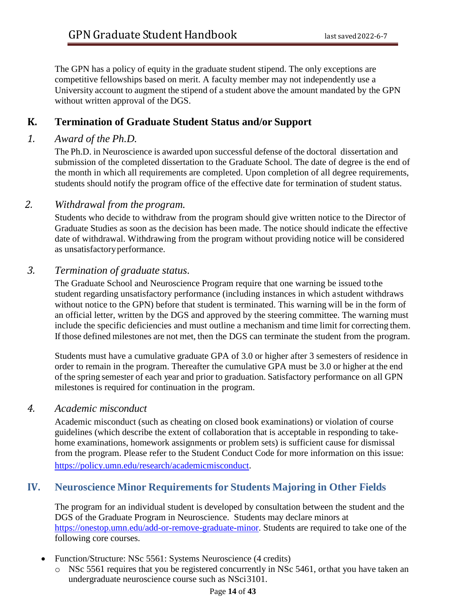The GPN has a policy of equity in the graduate student stipend. The only exceptions are competitive fellowships based on merit. A faculty member may not independently use a University account to augment the stipend of a student above the amount mandated by the GPN without written approval of the DGS.

## **K. Termination of Graduate Student Status and/or Support**

## *1. Award of the Ph.D.*

The Ph.D. in Neuroscience is awarded upon successful defense of the doctoral dissertation and submission of the completed dissertation to the Graduate School. The date of degree is the end of the month in which all requirements are completed. Upon completion of all degree requirements, students should notify the program office of the effective date for termination of student status.

## *2. Withdrawal from the program.*

Students who decide to withdraw from the program should give written notice to the Director of Graduate Studies as soon as the decision has been made. The notice should indicate the effective date of withdrawal. Withdrawing from the program without providing notice will be considered as unsatisfactoryperformance.

## *3. Termination of graduate status.*

The Graduate School and Neuroscience Program require that one warning be issued tothe student regarding unsatisfactory performance (including instances in which astudent withdraws without notice to the GPN) before that student is terminated. This warning will be in the form of an official letter, written by the DGS and approved by the steering committee. The warning must include the specific deficiencies and must outline a mechanism and time limit for correcting them. If those defined milestones are not met, then the DGS can terminate the student from the program.

Students must have a cumulative graduate GPA of 3.0 or higher after 3 semesters of residence in order to remain in the program. Thereafter the cumulative GPA must be 3.0 or higher at the end of the spring semester of each year and prior to graduation. Satisfactory performance on all GPN milestones is required for continuation in the program.

## *4. Academic misconduct*

Academic misconduct (such as cheating on closed book examinations) or violation of course guidelines (which describe the extent of collaboration that is acceptable in responding to takehome examinations, homework assignments or problem sets) is sufficient cause for dismissal from the program. Please refer to the Student Conduct Code for more information on this issue: [https://policy.umn.edu/research/academicmisconduct.](https://policy.umn.edu/research/academicmisconduct)

# **IV. Neuroscience Minor Requirements for Students Majoring in Other Fields**

The program for an individual student is developed by consultation between the student and the DGS of the Graduate Program in Neuroscience. Students may declare minors at [https://onestop.umn.edu/add-or-remove-graduate-minor.](https://onestop.umn.edu/add-or-remove-graduate-minor) Students are required to take one of the following core courses.

- Function/Structure: NSc 5561: Systems Neuroscience (4 credits)
	- o NSc 5561 requires that you be registered concurrently in NSc 5461, orthat you have taken an undergraduate neuroscience course such as NSci3101.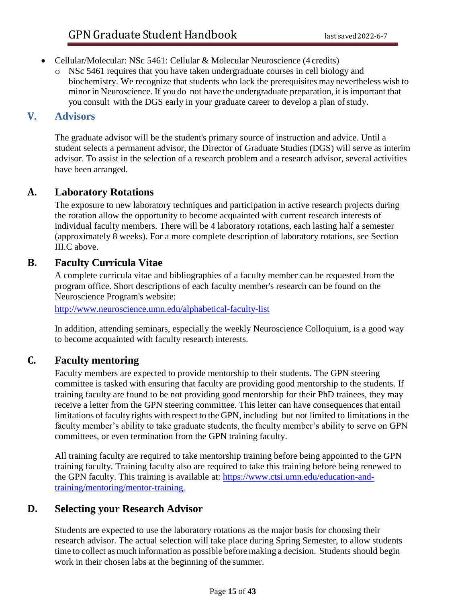- Cellular/Molecular: NSc 5461: Cellular & Molecular Neuroscience (4 credits)
	- o NSc 5461 requires that you have taken undergraduate courses in cell biology and biochemistry. We recognize that students who lack the prerequisites may nevertheless wish to minor in Neuroscience. If you do not have the undergraduate preparation, it is important that you consult with the DGS early in your graduate career to develop a plan of study.

## **V. Advisors**

The graduate advisor will be the student's primary source of instruction and advice. Until a student selects a permanent advisor, the Director of Graduate Studies (DGS) will serve as interim advisor. To assist in the selection of a research problem and a research advisor, several activities have been arranged.

## **A. Laboratory Rotations**

The exposure to new laboratory techniques and participation in active research projects during the rotation allow the opportunity to become acquainted with current research interests of individual faculty members. There will be 4 laboratory rotations, each lasting half a semester (approximately 8 weeks). For a more complete description of laboratory rotations, see Section [III.C above.](#page-3-0)

# **B. Faculty Curricula Vitae**

A complete curricula vitae and bibliographies of a faculty member can be requested from the program office. Short descriptions of each faculty member's research can be found on the Neuroscience Program's website:

<http://www.neuroscience.umn.edu/alphabetical-faculty-list>

In addition, attending seminars, especially the weekly Neuroscience Colloquium, is a good way to become acquainted with faculty research interests.

# **C. Faculty mentoring**

Faculty members are expected to provide mentorship to their students. The GPN steering committee is tasked with ensuring that faculty are providing good mentorship to the students. If training faculty are found to be not providing good mentorship for their PhD trainees, they may receive a letter from the GPN steering committee. This letter can have consequences that entail limitations of facultyrights with respect to the GPN, including but not limited to limitations in the faculty member's ability to take graduate students, the faculty member's ability to serve on GPN committees, or even termination from the GPN training faculty.

All training faculty are required to take mentorship training before being appointed to the GPN training faculty. Training faculty also are required to take this training before being renewed to the GPN faculty. This training is available at: [https://www.ctsi.umn.edu/education-and](http://www.ctsi.umn.edu/education-and-training/mentoring/mentor-training)[training/mentoring/mentor-training.](http://www.ctsi.umn.edu/education-and-training/mentoring/mentor-training)

# **D. Selecting your Research Advisor**

Students are expected to use the laboratory rotations as the major basis for choosing their research advisor. The actual selection will take place during Spring Semester, to allow students time to collect as much information as possible before making a decision. Students should begin work in their chosen labs at the beginning of the summer.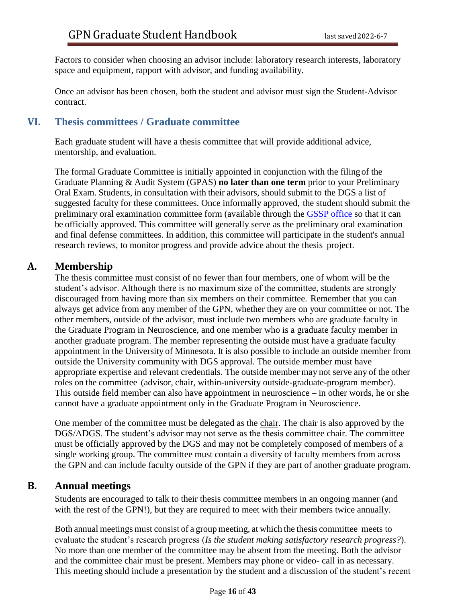Factors to consider when choosing an advisor include: laboratory research interests, laboratory space and equipment, rapport with advisor, and funding availability.

Once an advisor has been chosen, both the student and advisor must sign the Student-Advisor contract.

## **VI. Thesis committees / Graduate committee**

Each graduate student will have a thesis committee that will provide additional advice, mentorship, and evaluation.

The formal Graduate Committee is initially appointed in conjunction with the filingof the Graduate Planning & Audit System (GPAS) **no later than one term** prior to your Preliminary Oral Exam. Students, in consultation with their advisors, should submit to the DGS a list of suggested faculty for these committees. Once informally approved, the student should submit the preliminary oral examination committee form (available through the [GSSP office](https://onestop.umn.edu/academics/graduate-student-services-and-progress-gssp) so that it can be officially approved. This committee will generally serve as the preliminary oral examination and final defense committees. In addition, this committee will participate in the student's annual research reviews, to monitor progress and provide advice about the thesis project.

## **A. Membership**

The thesis committee must consist of no fewer than four members, one of whom will be the student's advisor. Although there is no maximum size of the committee, students are strongly discouraged from having more than six members on their committee. Remember that you can always get advice from any member of the GPN, whether they are on your committee or not. The other members, outside of the advisor, must include two members who are graduate faculty in the Graduate Program in Neuroscience, and one member who is a graduate faculty member in another graduate program. The member representing the outside must have a graduate faculty appointment in the University of Minnesota. It is also possible to include an outside member from outside the University community with DGS approval. The outside member must have appropriate expertise and relevant credentials. The outside member may not serve any of the other roles on the committee (advisor, chair, within-university outside-graduate-program member). This outside field member can also have appointment in neuroscience – in other words, he or she cannot have a graduate appointment only in the Graduate Program in Neuroscience.

One member of the committee must be delegated as the chair. The chair is also approved by the DGS/ADGS. The student's advisor may not serve as the thesis committee chair. The committee must be officially approved by the DGS and may not be completely composed of members of a single working group. The committee must contain a diversity of faculty members from across the GPN and can include faculty outside of the GPN if they are part of another graduate program.

## **B. Annual meetings**

Students are encouraged to talk to their thesis committee members in an ongoing manner (and with the rest of the GPN!), but they are required to meet with their members twice annually.

Both annual meetings must consist of a group meeting, at which the thesis committee meets to evaluate the student's research progress (*Is the student making satisfactory research progress?*). No more than one member of the committee may be absent from the meeting. Both the advisor and the committee chair must be present. Members may phone or video- call in as necessary. This meeting should include a presentation by the student and a discussion of the student's recent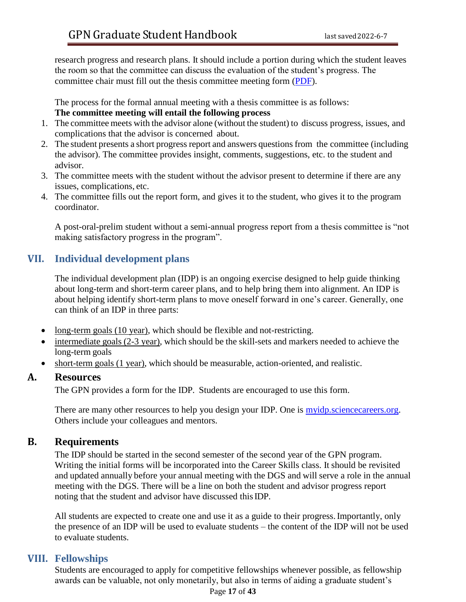research progress and research plans. It should include a portion during which the student leaves the room so that the committee can discuss the evaluation of the student's progress. The committee chair must fill out the thesis committee meeting form (PDF).

The process for the formal annual meeting with a thesis committee is as follows:

## **The committee meeting will entail the following process**

- 1. The committee meets with the advisor alone (without the student) to discuss progress, issues, and complications that the advisor is concerned about.
- 2. The student presents a short progress report and answers questionsfrom the committee (including the advisor). The committee provides insight, comments, suggestions, etc. to the student and advisor.
- 3. The committee meets with the student without the advisor present to determine if there are any issues, complications, etc.
- 4. The committee fills out the report form, and gives it to the student, who gives it to the program coordinator.

A post-oral-prelim student without a semi-annual progress report from a thesis committee is "not making satisfactory progress in the program".

# **VII. Individual development plans**

The individual development plan (IDP) is an ongoing exercise designed to help guide thinking about long-term and short-term career plans, and to help bring them into alignment. An IDP is about helping identify short-term plans to move oneself forward in one's career. Generally, one can think of an IDP in three parts:

- long-term goals (10 year), which should be flexible and not-restricting.
- intermediate goals (2-3 year), which should be the skill-sets and markers needed to achieve the long-term goals
- short-term goals (1 year), which should be measurable, action-oriented, and realistic.

## **A. Resources**

The GPN provides a form for the IDP. Students are encouraged to use this form.

There are many other resources to help you design your IDP. One is [myidp.sciencecareers.org.](http://myidp.sciencecareers.org/) Others include your colleagues and mentors.

# **B. Requirements**

The IDP should be started in the second semester of the second year of the GPN program. Writing the initial forms will be incorporated into the Career Skills class. It should be revisited and updated annually before your annual meeting with the DGS and will serve a role in the annual meeting with the DGS. There will be a line on both the student and advisor progress report noting that the student and advisor have discussed thisIDP.

All students are expected to create one and use it as a guide to their progress. Importantly, only the presence of an IDP will be used to evaluate students – the content of the IDP will not be used to evaluate students.

# **VIII. Fellowships**

Students are encouraged to apply for competitive fellowships whenever possible, as fellowship awards can be valuable, not only monetarily, but also in terms of aiding a graduate student's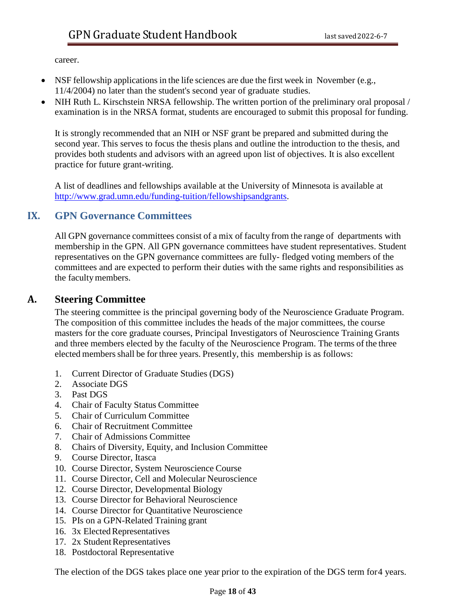career.

- NSF fellowship applications in the life sciences are due the first week in November (e.g., 11/4/2004) no later than the student's second year of graduate studies.
- NIH Ruth L. Kirschstein NRSA fellowship. The written portion of the preliminary oral proposal / examination is in the NRSA format, students are encouraged to submit this proposal for funding.

It is strongly recommended that an NIH or NSF grant be prepared and submitted during the second year. This serves to focus the thesis plans and outline the introduction to the thesis, and provides both students and advisors with an agreed upon list of objectives. It is also excellent practice for future grant-writing.

A list of deadlines and fellowships available at the University of Minnesota is available at [http://www.grad.umn.edu/funding-tuition/fellowshipsandgrants.](http://www.grad.umn.edu/funding-tuition/fellowshipsandgrants)

## **IX. GPN Governance Committees**

All GPN governance committees consist of a mix of faculty from the range of departments with membership in the GPN. All GPN governance committees have student representatives. Student representatives on the GPN governance committees are fully- fledged voting members of the committees and are expected to perform their duties with the same rights and responsibilities as the facultymembers.

## **A. Steering Committee**

The steering committee is the principal governing body of the Neuroscience Graduate Program. The composition of this committee includes the heads of the major committees, the course masters for the core graduate courses, Principal Investigators of Neuroscience Training Grants and three members elected by the faculty of the Neuroscience Program. The terms of the three elected membersshall be for three years. Presently, this membership is as follows:

- 1. Current Director of Graduate Studies (DGS)
- 2. Associate DGS
- 3. Past DGS
- 4. Chair of Faculty Status Committee
- 5. Chair of Curriculum Committee
- 6. Chair of Recruitment Committee
- 7. Chair of Admissions Committee
- 8. Chairs of Diversity, Equity, and Inclusion Committee
- 9. Course Director, Itasca
- 10. Course Director, System Neuroscience Course
- 11. Course Director, Cell and Molecular Neuroscience
- 12. Course Director, Developmental Biology
- 13. Course Director for Behavioral Neuroscience
- 14. Course Director for Quantitative Neuroscience
- 15. PIs on a GPN-Related Training grant
- 16. 3x Elected Representatives
- 17. 2x Student Representatives
- 18. Postdoctoral Representative

The election of the DGS takes place one year prior to the expiration of the DGS term for4 years.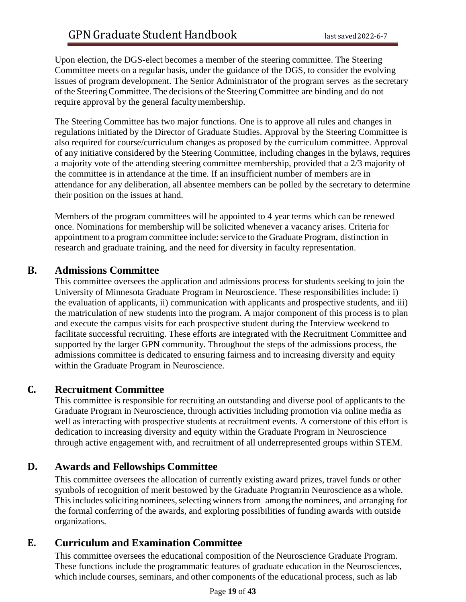Upon election, the DGS-elect becomes a member of the steering committee. The Steering Committee meets on a regular basis, under the guidance of the DGS, to consider the evolving issues of program development. The Senior Administrator of the program serves asthe secretary of the SteeringCommittee. The decisions of the Steering Committee are binding and do not require approval by the general faculty membership.

The Steering Committee has two major functions. One is to approve all rules and changes in regulations initiated by the Director of Graduate Studies. Approval by the Steering Committee is also required for course/curriculum changes as proposed by the curriculum committee. Approval of any initiative considered by the Steering Committee, including changes in the bylaws, requires a majority vote of the attending steering committee membership, provided that a 2/3 majority of the committee is in attendance at the time. If an insufficient number of members are in attendance for any deliberation, all absentee members can be polled by the secretary to determine their position on the issues at hand.

Members of the program committees will be appointed to 4 year terms which can be renewed once. Nominations for membership will be solicited whenever a vacancy arises. Criteria for appointment to a program committee include: service to the Graduate Program, distinction in research and graduate training, and the need for diversity in faculty representation.

## **B. Admissions Committee**

This committee oversees the application and admissions process for students seeking to join the University of Minnesota Graduate Program in Neuroscience. These responsibilities include: i) the evaluation of applicants, ii) communication with applicants and prospective students, and iii) the matriculation of new students into the program. A major component of this process is to plan and execute the campus visits for each prospective student during the Interview weekend to facilitate successful recruiting. These efforts are integrated with the Recruitment Committee and supported by the larger GPN community. Throughout the steps of the admissions process, the admissions committee is dedicated to ensuring fairness and to increasing diversity and equity within the Graduate Program in Neuroscience.

## **C. Recruitment Committee**

This committee is responsible for recruiting an outstanding and diverse pool of applicants to the Graduate Program in Neuroscience, through activities including promotion via online media as well as interacting with prospective students at recruitment events. A cornerstone of this effort is dedication to increasing diversity and equity within the Graduate Program in Neuroscience through active engagement with, and recruitment of all underrepresented groups within STEM.

# **D. Awards and Fellowships Committee**

This committee oversees the allocation of currently existing award prizes, travel funds or other symbols of recognition of merit bestowed by the Graduate Programin Neuroscience as a whole. This includes soliciting nominees, selecting winners from among the nominees, and arranging for the formal conferring of the awards, and exploring possibilities of funding awards with outside organizations.

# **E. Curriculum and Examination Committee**

This committee oversees the educational composition of the Neuroscience Graduate Program. These functions include the programmatic features of graduate education in the Neurosciences, which include courses, seminars, and other components of the educational process, such as lab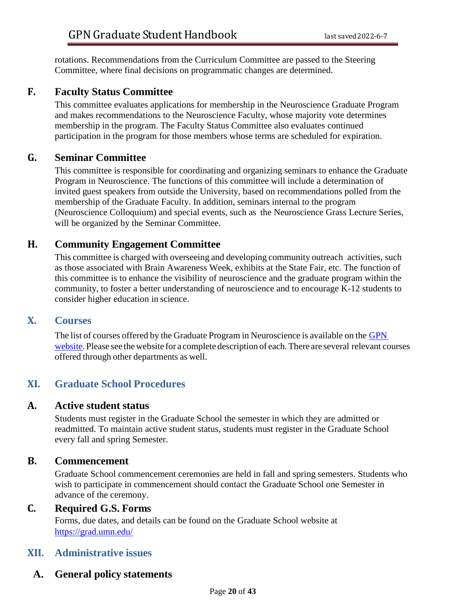rotations. Recommendations from the Curriculum Committee are passed to the Steering Committee, where final decisions on programmatic changes are determined.

## **F. Faculty Status Committee**

This committee evaluates applications for membership in the Neuroscience Graduate Program and makes recommendations to the Neuroscience Faculty, whose majority vote determines membership in the program. The Faculty Status Committee also evaluates continued participation in the program for those members whose terms are scheduled for expiration.

## **G. Seminar Committee**

This committee is responsible for coordinating and organizing seminars to enhance the Graduate Program in Neuroscience. The functions of this committee will include a determination of invited guest speakers from outside the University, based on recommendations polled from the membership of the Graduate Faculty. In addition, seminars internal to the program (Neuroscience Colloquium) and special events, such as the Neuroscience Grass Lecture Series, will be organized by the Seminar Committee.

## **H. Community Engagement Committee**

This committee is charged with overseeing and developing community outreach activities, such as those associated with Brain Awareness Week, exhibits at the State Fair, etc. The function of this committee is to enhance the visibility of neuroscience and the graduate program within the community, to foster a better understanding of neuroscience and to encourage K-12 students to consider higher education in science.

## **X. Courses**

The list of courses offered by the Graduate Program in Neuroscience is available on the [GPN](https://med.umn.edu/neuroscience/education-training/courses) [website.](https://med.umn.edu/neuroscience/education-training/courses) Please see the website for a complete description of each. There are several relevant courses offered through other departments as well.

# **XI. Graduate School Procedures**

## **A. Active student status**

Students must register in the Graduate School the semester in which they are admitted or readmitted. To maintain active student status, students must register in the Graduate School every fall and spring Semester.

## **B. Commencement**

Graduate School commencement ceremonies are held in fall and spring semesters. Students who wish to participate in commencement should contact the Graduate School one Semester in advance of the ceremony.

## **C. Required G.S. Forms**

Forms, due dates, and details can be found on the Graduate School website at <https://grad.umn.edu/>

# **XII. Administrative issues**

# **A. General policy statements**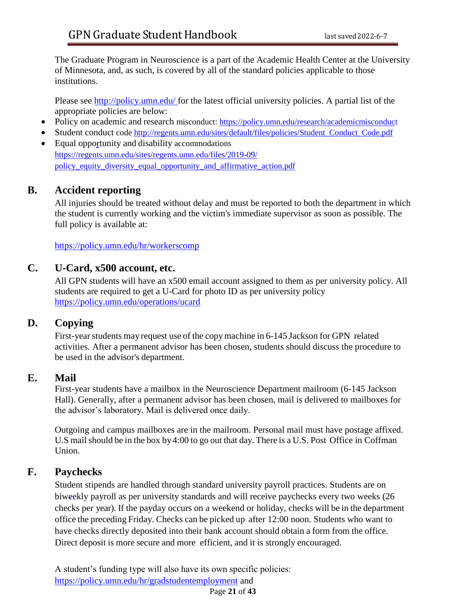The Graduate Program in Neuroscience is a part of the Academic Health Center at the University of Minnesota, and, as such, is covered by all of the standard policies applicable to those institutions.

Please see [http://policy.umn.edu/ f](http://policy.umn.edu/)or the latest official university policies. A partial list of the appropriate policies are below:

- Policy on academic and research misconduct:<https://policy.umn.edu/research/academicmisconduct>
- Student conduct code http://regents.umn.edu/sites/default/files/policies/Student Conduct Code.pdf
- Equal opportunity and disability accommodations [https://regents.umn.edu/sites/regents.umn.edu/files/2019-09/](https://regents.umn.edu/sites/regents.umn.edu/files/2019-09/policy_equity_diversity_equal_opportunity_and_affirmative_action.pdf) [policy\\_equity\\_diversity\\_equal\\_opportunity\\_and\\_affirmative\\_action.pdf](https://regents.umn.edu/sites/regents.umn.edu/files/2019-09/policy_equity_diversity_equal_opportunity_and_affirmative_action.pdf)

# **B. Accident reporting**

All injuries should be treated without delay and must be reported to both the department in which the student is currently working and the victim's immediate supervisor as soon as possible. The full policy is available at:

<https://policy.umn.edu/hr/workerscomp>

## **C. U-Card, x500 account, etc.**

All GPN students will have an x500 email account assigned to them as per university policy. All students are required to get a U-Card for photo ID as per university policy <https://policy.umn.edu/operations/ucard>

# **D. Copying**

First-year students may request use of the copy machine in 6-145 Jackson for GPN related activities. After a permanent advisor has been chosen, students should discuss the procedure to be used in the advisor's department.

## **E. Mail**

First-year students have a mailbox in the Neuroscience Department mailroom (6-145 Jackson Hall). Generally, after a permanent advisor has been chosen, mail is delivered to mailboxes for the advisor's laboratory. Mail is delivered once daily.

Outgoing and campus mailboxes are in the mailroom. Personal mail must have postage affixed. U.S mail should be in the box by 4:00 to go out that day. There is a U.S. Post Office in Coffman Union.

# **F. Paychecks**

Student stipends are handled through standard university payroll practices. Students are on biweekly payroll as per university standards and will receive paychecks every two weeks (26 checks per year). If the payday occurs on a weekend or holiday, checks will be in the department office the preceding Friday. Checks can be picked up after 12:00 noon. Students who want to have checks directly deposited into their bank account should obtain a form from the office. Direct deposit is more secure and more efficient, and it is strongly encouraged.

Page **21** of **43** A student's funding type will also have its own specific policies: <https://policy.umn.edu/hr/gradstudentemployment> and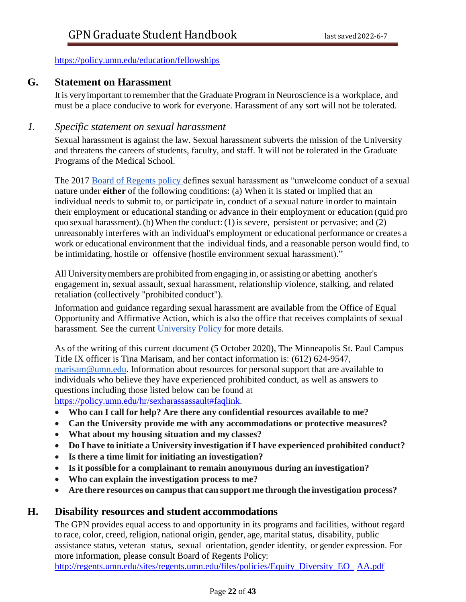<https://policy.umn.edu/education/fellowships>

## **G. Statement on Harassment**

It is veryimportant to remember that the Graduate Program in Neuroscience is a workplace, and must be a place conducive to work for everyone. Harassment of any sort will not be tolerated.

## *1. Specific statement on sexual harassment*

Sexual harassment is against the law. Sexual harassment subverts the mission of the University and threatens the careers of students, faculty, and staff. It will not be tolerated in the Graduate Programs of the Medical School.

The 2017 [Board of Regents policy d](https://regents.umn.edu/sites/regents.umn.edu/files/policies/Sexual_Harassment_Sexual_Assault_Stalking_Relationship_Violence.pdf)efines sexual harassment as "unwelcome conduct of a sexual nature under **either** of the following conditions: (a) When it is stated or implied that an individual needs to submit to, or participate in, conduct of a sexual nature inorder to maintain their employment or educational standing or advance in their employment or education (quid pro quo sexual harassment). (b) When the conduct: (1) is severe, persistent or pervasive; and (2) unreasonably interferes with an individual's employment or educational performance or creates a work or educational environment that the individual finds, and a reasonable person would find, to be intimidating, hostile or offensive (hostile environment sexual harassment)."

All Universitymembers are prohibited from engaging in, or assisting or abetting another's engagement in, sexual assault, sexual harassment, relationship violence, stalking, and related retaliation (collectively "prohibited conduct").

Information and guidance regarding sexual harassment are available from the Office of Equal Opportunity and Affirmative Action, which is also the office that receives complaints of sexual harassment. See the current [University Policy f](https://policy.umn.edu/hr/sexharassassault)or more details.

As of the writing of this current document (5 October 2020), The Minneapolis St. Paul Campus Title IX officer is Tina Marisam, and her contact information is: (612) 624-9547, [marisam@umn.edu. I](mailto:marisam@umn.edu)nformation about resources for personal support that are available to individuals who believe they have experienced prohibited conduct, as well as answers to questions including those listed below can be found at [https://policy.umn.edu/hr/sexharassassault#faqlink.](https://policy.umn.edu/hr/sexharassassault#faqlink)

**Who can I call for help? Are there any confidential resources available to me?**

- **Can the University provide me with any accommodations or protective measures?**
- **What about my housing situation and my classes?**
- **Do I have to initiate a University investigation if I have experienced prohibited conduct?**
- **Is there a time limit for initiating an investigation?**
- **Is it possible for a complainant to remain anonymous during an investigation?**
- **Who can explain the investigation process to me?**
- **Are there resources on campusthat can support me through the investigation process?**

## **H. Disability resources and student accommodations**

The GPN provides equal access to and opportunity in its programs and facilities, without regard to race, color, creed, religion, national origin, gender, age, marital status, disability, public assistance status, veteran status, sexual orientation, gender identity, or gender expression. For more information, please consult Board of Regents Policy: [http://regents.umn.edu/sites/regents.umn.edu/files/policies/Equity\\_Diversity\\_EO\\_](http://regents.umn.edu/sites/regents.umn.edu/files/policies/Equity_Diversity_EO_AA.pdf) [AA.pdf](http://regents.umn.edu/sites/regents.umn.edu/files/policies/Equity_Diversity_EO_AA.pdf)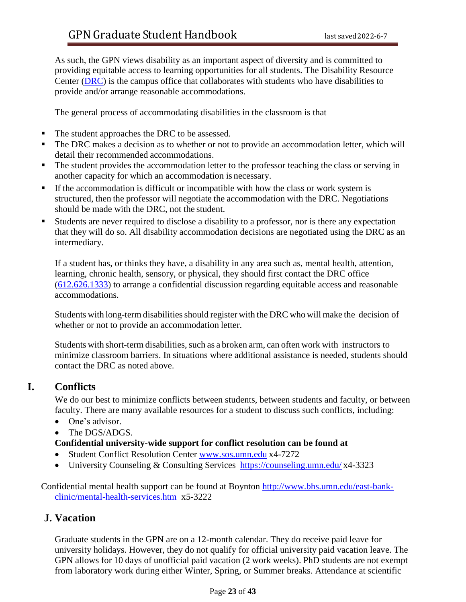As such, the GPN views disability as an important aspect of diversity and is committed to providing equitable access to learning opportunities for all students. The Disability Resource Center [\(DRC\)](https://disability.umn.edu/) is the campus office that collaborates with students who have disabilities to provide and/or arrange reasonable accommodations.

The general process of accommodating disabilities in the classroom is that

- The student approaches the DRC to be assessed.
- The DRC makes a decision as to whether or not to provide an accommodation letter, which will detail their recommended accommodations.
- The student provides the accommodation letter to the professor teaching the class or serving in another capacity for which an accommodation is necessary.
- If the accommodation is difficult or incompatible with how the class or work system is structured, then the professor will negotiate the accommodation with the DRC. Negotiations should be made with the DRC, not the student.
- Students are never required to disclose a disability to a professor, nor is there any expectation that they will do so. All disability accommodation decisions are negotiated using the DRC as an intermediary.

If a student has, or thinks they have, a disability in any area such as, mental health, attention, learning, chronic health, sensory, or physical, they should first contact the DRC office (612.626.1333) to arrange a confidential discussion regarding equitable access and reasonable accommodations.

Students with long-term disabilities should register with the DRC who will make the decision of whether or not to provide an accommodation letter.

Students with short-term disabilities, such as a broken arm, can often work with instructors to minimize classroom barriers. In situations where additional assistance is needed, students should contact the DRC as noted above.

# **I. Conflicts**

We do our best to minimize conflicts between students, between students and faculty, or between faculty. There are many available resources for a student to discuss such conflicts, including:

- One's advisor.
- The DGS/ADGS.

#### **Confidential university-wide support for conflict resolution can be found at**

- Student Conflict Resolution Center [www.sos.umn.edu](http://www.sos.umn.edu/) x4-7272
- University Counseling & Consulting Services <https://counseling.umn.edu/> x4-3323

Confidential mental health support can be found at Boynton [http://www.bhs.umn.edu/east-bank](http://www.bhs.umn.edu/east-bank-clinic/mental-health-services.htm)[clinic/mental-health-services.htm](http://www.bhs.umn.edu/east-bank-clinic/mental-health-services.htm) x5-3222

## **J. Vacation**

Graduate students in the GPN are on a 12-month calendar. They do receive paid leave for university holidays. However, they do not qualify for official university paid vacation leave. The GPN allows for 10 days of unofficial paid vacation (2 work weeks). PhD students are not exempt from laboratory work during either Winter, Spring, or Summer breaks. Attendance at scientific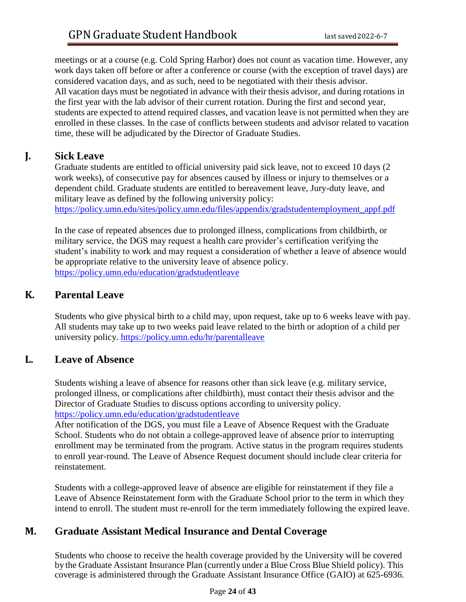meetings or at a course (e.g. Cold Spring Harbor) does not count as vacation time. However, any work days taken off before or after a conference or course (with the exception of travel days) are considered vacation days, and as such, need to be negotiated with their thesis advisor. All vacation days must be negotiated in advance with their thesis advisor, and during rotations in the first year with the lab advisor of their current rotation. During the first and second year, students are expected to attend required classes, and vacation leave is not permitted when they are enrolled in these classes. In the case of conflicts between students and advisor related to vacation time, these will be adjudicated by the Director of Graduate Studies.

# **J. Sick Leave**

Graduate students are entitled to official university paid sick leave, not to exceed 10 days (2 work weeks), of consecutive pay for absences caused by illness or injury to themselves or a dependent child. Graduate students are entitled to bereavement leave, Jury-duty leave, and military leave as defined by the following university policy: [https://policy.umn.edu/sites/policy.umn.edu/files/appendix/gradstudentemployment\\_appf.pdf](https://policy.umn.edu/sites/policy.umn.edu/files/appendix/gradstudentemployment_appf.pdf)

In the case of repeated absences due to prolonged illness, complications from childbirth, or military service, the DGS may request a health care provider's certification verifying the student's inability to work and may request a consideration of whether a leave of absence would be appropriate relative to the university leave of absence policy. <https://policy.umn.edu/education/gradstudentleave>

# **K. Parental Leave**

Students who give physical birth to a child may, upon request, take up to 6 weeks leave with pay. All students may take up to two weeks paid leave related to the birth or adoption of a child per university policy. <https://policy.umn.edu/hr/parentalleave>

## **L. Leave of Absence**

Students wishing a leave of absence for reasons other than sick leave (e.g. military service, prolonged illness, or complications after childbirth), must contact their thesis advisor and the Director of Graduate Studies to discuss options according to university policy. <https://policy.umn.edu/education/gradstudentleave>

After notification of the DGS, you must file a Leave of Absence Request with the Graduate School. Students who do not obtain a college-approved leave of absence prior to interrupting enrollment may be terminated from the program. Active status in the program requires students to enroll year-round. The Leave of Absence Request document should include clear criteria for reinstatement.

Students with a college-approved leave of absence are eligible for reinstatement if they file a Leave of Absence Reinstatement form with the Graduate School prior to the term in which they intend to enroll. The student must re-enroll for the term immediately following the expired leave.

## **M. Graduate Assistant Medical Insurance and Dental Coverage**

Students who choose to receive the health coverage provided by the University will be covered by the Graduate Assistant Insurance Plan (currently under a Blue Cross Blue Shield policy). This coverage is administered through the Graduate Assistant Insurance Office (GAIO) at 625-6936.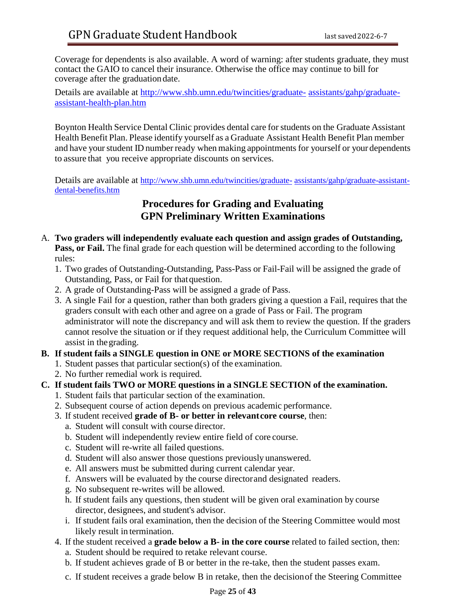Coverage for dependents is also available. A word of warning: after students graduate, they must contact the GAIO to cancel their insurance. Otherwise the office may continue to bill for coverage after the graduation date.

Details are available at [http://www.shb.umn.edu/twincities/graduate-](http://www.shb.umn.edu/twincities/graduate-assistants/gahp/graduate-assistant-health-plan.htm) [assistants/gahp/graduate](http://www.shb.umn.edu/twincities/graduate-assistants/gahp/graduate-assistant-health-plan.htm)[assistant-health-plan.htm](http://www.shb.umn.edu/twincities/graduate-assistants/gahp/graduate-assistant-health-plan.htm)

Boynton Health Service Dental Clinic provides dental care for students on the Graduate Assistant Health Benefit Plan. Please identify yourself as a Graduate Assistant Health Benefit Plan member and have your student ID number ready when making appointments for yourself or your dependents to assure that you receive appropriate discounts on services.

Details are available at [http://www.shb.umn.edu/twincities/graduate-](http://www.shb.umn.edu/twincities/graduate-assistants/gahp/graduate-assistant-dental-benefits.htm)[assistants/gahp/graduate-assistant](http://www.shb.umn.edu/twincities/graduate-assistants/gahp/graduate-assistant-dental-benefits.htm)[dental-benefits.htm](http://www.shb.umn.edu/twincities/graduate-assistants/gahp/graduate-assistant-dental-benefits.htm)

# **Procedures for Grading and Evaluating GPN Preliminary Written Examinations**

- A. **Two graders will independently evaluate each question and assign grades of Outstanding, Pass, or Fail.** The final grade for each question will be determined according to the following rules:
	- 1. Two grades of Outstanding-Outstanding, Pass-Pass or Fail-Fail will be assigned the grade of Outstanding, Pass, or Fail for thatquestion.
	- 2. A grade of Outstanding-Pass will be assigned a grade of Pass.
	- 3. A single Fail for a question, rather than both graders giving a question a Fail, requires that the graders consult with each other and agree on a grade of Pass or Fail. The program administrator will note the discrepancy and will ask them to review the question. If the graders cannot resolve the situation or if they request additional help, the Curriculum Committee will assist in thegrading.

#### **B. If student fails a SINGLE question in ONE or MORE SECTIONS of the examination**

- 1. Student passes that particular section(s) of the examination.
- 2. No further remedial work is required.
- **C. If student fails TWO or MORE questions in a SINGLE SECTION of the examination.**
	- 1. Student fails that particular section of the examination.
	- 2. Subsequent course of action depends on previous academic performance.
	- 3. If student received **grade of B- or better in relevantcore course**, then:
		- a. Student will consult with course director.
		- b. Student will independently review entire field of core course.
		- c. Student will re-write all failed questions.
		- d. Student will also answer those questions previously unanswered.
		- e. All answers must be submitted during current calendar year.
		- f. Answers will be evaluated by the course directorand designated readers.
		- g. No subsequent re-writes will be allowed.
		- h. If student fails any questions, then student will be given oral examination by course director, designees, and student's advisor.
		- i. If student fails oral examination, then the decision of the Steering Committee would most likely result in termination.
	- 4. If the student received a **grade below a B- in the core course** related to failed section, then:
		- a. Student should be required to retake relevant course.
		- b. If student achieves grade of B or better in the re-take, then the student passes exam.
		- c. If student receives a grade below B in retake, then the decisionof the Steering Committee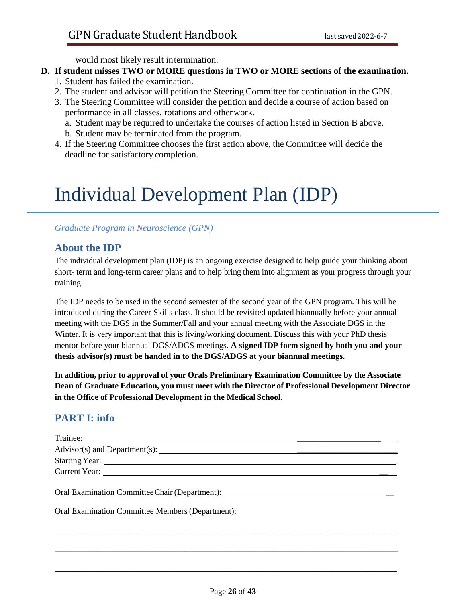would most likely result intermination.

## **D. If student misses TWO or MORE questions in TWO or MORE sections of the examination.**

- 1. Student has failed the examination.
- 2. The student and advisor will petition the Steering Committee for continuation in the GPN.
- 3. The Steering Committee will consider the petition and decide a course of action based on performance in all classes, rotations and otherwork.
	- a. Student may be required to undertake the courses of action listed in Section B above.
	- b. Student may be terminated from the program.
- 4. If the Steering Committee chooses the first action above, the Committee will decide the deadline for satisfactory completion.

# Individual Development Plan (IDP)

## *Graduate Program in Neuroscience (GPN)*

# **About the IDP**

The individual development plan (IDP) is an ongoing exercise designed to help guide your thinking about short- term and long-term career plans and to help bring them into alignment as your progress through your training.

The IDP needs to be used in the second semester of the second year of the GPN program. This will be introduced during the Career Skills class. It should be revisited updated biannually before your annual meeting with the DGS in the Summer/Fall and your annual meeting with the Associate DGS in the Winter. It is very important that this is living/working document. Discuss this with your PhD thesis mentor before your biannual DGS/ADGS meetings. **A signed IDP form signed by both you and your thesis advisor(s) must be handed in to the DGS/ADGS at your biannual meetings.**

**In addition, prior to approval of your Orals Preliminary Examination Committee by the Associate Dean of Graduate Education, you must meet with the Director of Professional Development Director in the Office of Professional Development in the Medical School.**

# **PART I: info**

| Oral Examination Committee Chair (Department): _________________________________ |  |
|----------------------------------------------------------------------------------|--|

\_\_\_\_\_\_\_\_\_\_\_\_\_\_\_\_\_\_\_\_\_\_\_\_\_\_\_\_\_\_\_\_\_\_\_\_\_\_\_\_\_\_\_\_\_\_\_\_\_\_\_\_\_\_\_\_\_\_\_\_\_\_\_\_\_\_\_\_\_\_\_\_\_\_\_\_\_\_\_\_\_\_

\_\_\_\_\_\_\_\_\_\_\_\_\_\_\_\_\_\_\_\_\_\_\_\_\_\_\_\_\_\_\_\_\_\_\_\_\_\_\_\_\_\_\_\_\_\_\_\_\_\_\_\_\_\_\_\_\_\_\_\_\_\_\_\_\_\_\_\_\_\_\_\_\_\_\_\_\_\_\_\_\_\_

\_\_\_\_\_\_\_\_\_\_\_\_\_\_\_\_\_\_\_\_\_\_\_\_\_\_\_\_\_\_\_\_\_\_\_\_\_\_\_\_\_\_\_\_\_\_\_\_\_\_\_\_\_\_\_\_\_\_\_\_\_\_\_\_\_\_\_\_\_\_\_\_\_\_\_

Oral Examination Committee Members (Department):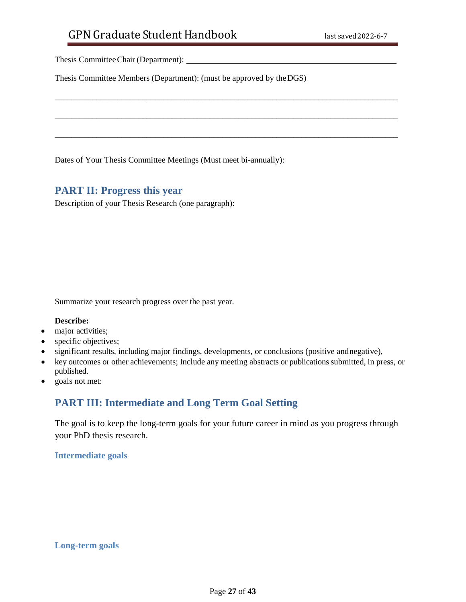Thesis CommitteeChair (Department):

Thesis Committee Members (Department): (must be approved by theDGS)

\_\_\_\_\_\_\_\_\_\_\_\_\_\_\_\_\_\_\_\_\_\_\_\_\_\_\_\_\_\_\_\_\_\_\_\_\_\_\_\_\_\_\_\_\_\_\_\_\_\_\_\_\_\_\_\_\_\_\_\_\_\_\_\_\_\_\_\_\_\_\_\_\_\_\_\_\_\_\_\_\_\_

\_\_\_\_\_\_\_\_\_\_\_\_\_\_\_\_\_\_\_\_\_\_\_\_\_\_\_\_\_\_\_\_\_\_\_\_\_\_\_\_\_\_\_\_\_\_\_\_\_\_\_\_\_\_\_\_\_\_\_\_\_\_\_\_\_\_\_\_\_\_\_\_\_\_\_\_\_\_\_\_\_\_

\_\_\_\_\_\_\_\_\_\_\_\_\_\_\_\_\_\_\_\_\_\_\_\_\_\_\_\_\_\_\_\_\_\_\_\_\_\_\_\_\_\_\_\_\_\_\_\_\_\_\_\_\_\_\_\_\_\_\_\_\_\_\_\_\_\_\_\_\_\_\_\_\_\_\_\_\_\_\_\_\_\_

Dates of Your Thesis Committee Meetings (Must meet bi-annually):

## **PART II: Progress this year**

Description of your Thesis Research (one paragraph):

Summarize your research progress over the past year.

#### **Describe:**

- major activities;
- specific objectives;
- significant results, including major findings, developments, or conclusions (positive andnegative),
- key outcomes or other achievements; Include any meeting abstracts or publications submitted, in press, or published.
- goals not met:

## **PART III: Intermediate and Long Term Goal Setting**

The goal is to keep the long-term goals for your future career in mind as you progress through your PhD thesis research.

#### **Intermediate goals**

**Long-term goals**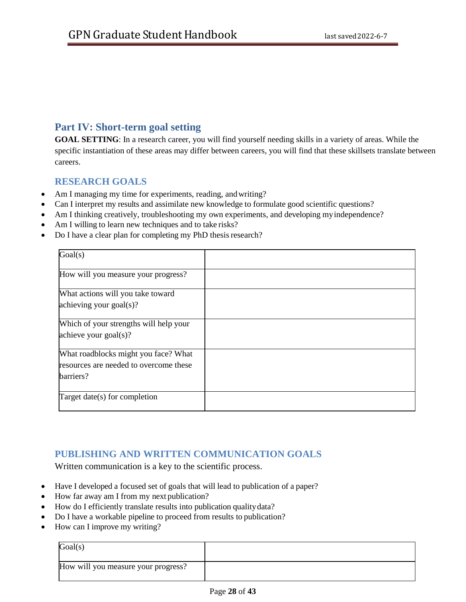## **Part IV: Short-term goal setting**

**GOAL SETTING**: In a research career, you will find yourself needing skills in a variety of areas. While the specific instantiation of these areas may differ between careers, you will find that these skillsets translate between careers.

## **RESEARCH GOALS**

- Am I managing my time for experiments, reading, and writing?
- Can I interpret my results and assimilate new knowledge to formulate good scientific questions?
- Am I thinking creatively, troubleshooting my own experiments, and developing myindependence?
- Am I willing to learn new techniques and to take risks?
- Do I have a clear plan for completing my PhD thesis research?

| Goal(s)                                                                                     |  |
|---------------------------------------------------------------------------------------------|--|
| How will you measure your progress?                                                         |  |
| What actions will you take toward<br>achieving your goal(s)?                                |  |
| Which of your strengths will help your<br>achieve your $\text{goal}(s)$ ?                   |  |
| What roadblocks might you face? What<br>resources are needed to overcome these<br>barriers? |  |
| Target date(s) for completion                                                               |  |

## **PUBLISHING AND WRITTEN COMMUNICATION GOALS**

Written communication is a key to the scientific process.

- Have I developed a focused set of goals that will lead to publication of a paper?
- How far away am I from my next publication?
- How do I efficiently translate results into publication quality data?
- Do I have a workable pipeline to proceed from results to publication?
- How can I improve my writing?

| Goal(s)                             |  |
|-------------------------------------|--|
| How will you measure your progress? |  |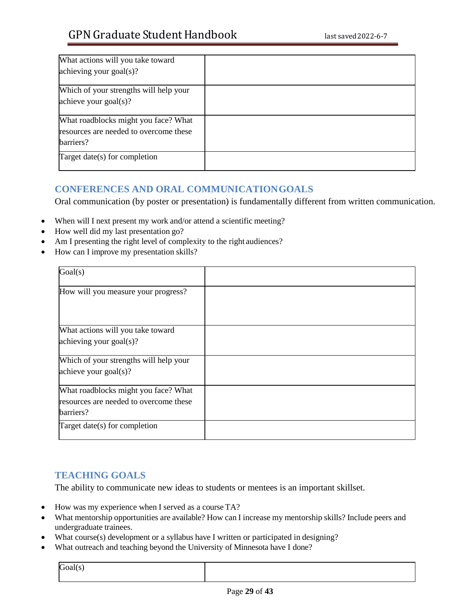| What actions will you take toward      |  |
|----------------------------------------|--|
| achieving your $\text{goal}(s)$ ?      |  |
| Which of your strengths will help your |  |
| achieve your $\text{goal}(s)$ ?        |  |
| What roadblocks might you face? What   |  |
| resources are needed to overcome these |  |
| barriers?                              |  |
| Target date(s) for completion          |  |

## **CONFERENCES AND ORAL COMMUNICATIONGOALS**

Oral communication (by poster or presentation) is fundamentally different from written communication.

- When will I next present my work and/or attend a scientific meeting?
- How well did my last presentation go?
- Am I presenting the right level of complexity to the right audiences?
- How can I improve my presentation skills?

| Goal(s)                                                                                     |  |
|---------------------------------------------------------------------------------------------|--|
| How will you measure your progress?                                                         |  |
| What actions will you take toward<br>achieving your goal(s)?                                |  |
| Which of your strengths will help your<br>achieve your $goal(s)$ ?                          |  |
| What roadblocks might you face? What<br>resources are needed to overcome these<br>barriers? |  |
| Target date(s) for completion                                                               |  |

## **TEACHING GOALS**

The ability to communicate new ideas to students or mentees is an important skillset.

- How was my experience when I served as a course TA?
- What mentorship opportunities are available? How can I increase my mentorship skills? Include peers and undergraduate trainees.
- What course(s) development or a syllabus have I written or participated in designing?
- What outreach and teaching beyond the University of Minnesota have I done?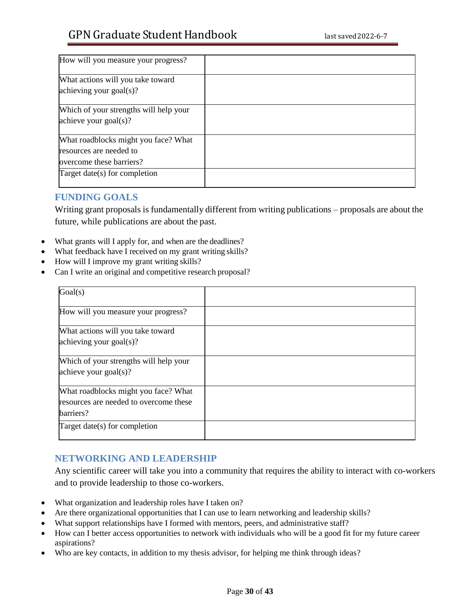| How will you measure your progress?    |  |
|----------------------------------------|--|
| What actions will you take toward      |  |
| achieving your goal(s)?                |  |
| Which of your strengths will help your |  |
| achieve your $\text{goal}(s)$ ?        |  |
| What roadblocks might you face? What   |  |
| resources are needed to                |  |
| overcome these barriers?               |  |
| Target date(s) for completion          |  |

## **FUNDING GOALS**

Writing grant proposals is fundamentally different from writing publications – proposals are about the future, while publications are about the past.

- What grants will I apply for, and when are the deadlines?
- What feedback have I received on my grant writing skills?
- How will I improve my grant writing skills?
- Can I write an original and competitive research proposal?

| Goal(s)                                |  |
|----------------------------------------|--|
| How will you measure your progress?    |  |
| What actions will you take toward      |  |
| achieving your goal(s)?                |  |
| Which of your strengths will help your |  |
| achieve your $\text{goal}(s)$ ?        |  |
| What roadblocks might you face? What   |  |
| resources are needed to overcome these |  |
| barriers?                              |  |
| Target date(s) for completion          |  |
|                                        |  |

## **NETWORKING AND LEADERSHIP**

Any scientific career will take you into a community that requires the ability to interact with co-workers and to provide leadership to those co-workers.

- What organization and leadership roles have I taken on?
- Are there organizational opportunities that I can use to learn networking and leadership skills?
- What support relationships have I formed with mentors, peers, and administrative staff?
- How can I better access opportunities to network with individuals who will be a good fit for my future career aspirations?
- Who are key contacts, in addition to my thesis advisor, for helping me think through ideas?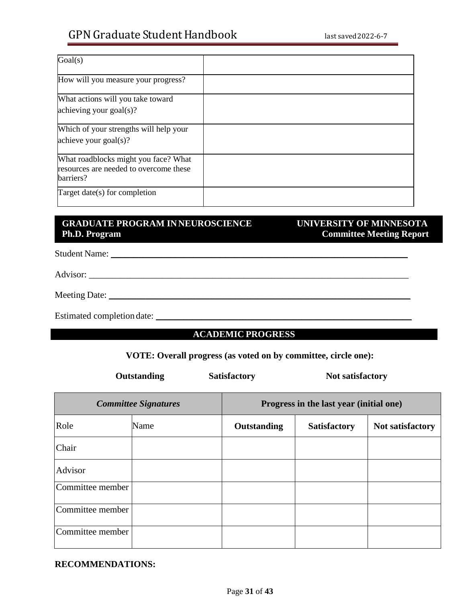# GPN Graduate Student Handbook last saved 2022-6-7

| Goal(s)                                                                                     |  |
|---------------------------------------------------------------------------------------------|--|
| How will you measure your progress?                                                         |  |
| What actions will you take toward<br>achieving your goal(s)?                                |  |
| Which of your strengths will help your<br>achieve your $\text{goal}(s)$ ?                   |  |
| What roadblocks might you face? What<br>resources are needed to overcome these<br>barriers? |  |
| Target date(s) for completion                                                               |  |

## **GRADUATE PROGRAM INNEUROSCIENCE UNIVERSITY OF MINNESOTA Ph.D. Program**

# **Committee Meeting Report**

Student Name: \_\_\_\_\_\_\_\_\_\_\_\_\_\_\_\_\_\_\_\_\_\_\_\_\_\_\_\_\_\_\_\_\_\_\_\_\_\_\_\_\_\_\_\_\_\_\_\_\_\_\_\_\_\_\_\_\_\_\_\_\_\_\_\_\_

Advisor: \_\_\_\_\_\_\_\_\_\_\_\_\_\_\_\_\_\_\_\_\_\_\_\_\_\_\_\_\_\_\_\_\_\_\_\_\_\_\_\_\_\_\_\_\_\_\_\_\_\_\_\_\_\_\_\_\_\_\_\_\_\_\_\_\_\_\_\_\_\_

Meeting Date: \_\_\_\_\_\_\_\_\_\_\_\_\_\_\_\_\_\_\_\_\_\_\_\_\_\_\_\_\_\_\_\_\_\_\_\_\_\_\_\_\_\_\_\_\_\_\_\_\_\_\_\_\_\_\_\_\_\_\_\_\_\_\_\_\_\_

Estimated completion date: \_\_\_\_\_\_\_\_\_\_\_\_\_\_\_\_\_\_\_\_\_\_\_\_\_\_\_\_\_\_\_\_\_\_\_\_\_\_\_\_\_\_\_\_\_\_\_\_\_\_\_\_\_\_\_\_

## **ACADEMIC PROGRESS**

#### **VOTE: Overall progress (as voted on by committee, circle one):**

**Outstanding Satisfactory Mot satisfactory** 

| <b>Committee Signatures</b> |      | Progress in the last year (initial one) |                     |                  |
|-----------------------------|------|-----------------------------------------|---------------------|------------------|
| Role                        | Name | Outstanding                             | <b>Satisfactory</b> | Not satisfactory |
| Chair                       |      |                                         |                     |                  |
| Advisor                     |      |                                         |                     |                  |
| Committee member            |      |                                         |                     |                  |
| Committee member            |      |                                         |                     |                  |
| Committee member            |      |                                         |                     |                  |

**RECOMMENDATIONS:**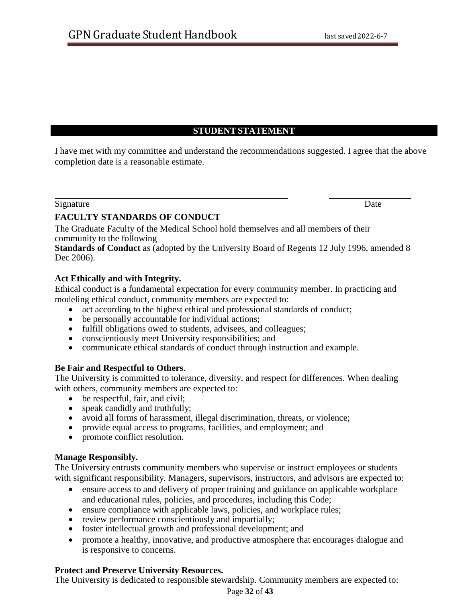#### **STUDENT STATEMENT**

I have met with my committee and understand the recommendations suggested. I agree that the above completion date is a reasonable estimate.

#### Signature Date

#### **FACULTY STANDARDS OF CONDUCT**

The Graduate Faculty of the Medical School hold themselves and all members of their community to the following

**Standards of Conduct** as (adopted by the University Board of Regents 12 July 1996, amended 8 Dec 2006).

#### **Act Ethically and with Integrity.**

Ethical conduct is a fundamental expectation for every community member. In practicing and modeling ethical conduct, community members are expected to:

- act according to the highest ethical and professional standards of conduct;
- be personally accountable for individual actions;
- fulfill obligations owed to students, advisees, and colleagues;
- conscientiously meet University responsibilities; and
- communicate ethical standards of conduct through instruction and example.

#### **Be Fair and Respectful to Others**.

The University is committed to tolerance, diversity, and respect for differences. When dealing with others, community members are expected to:

- be respectful, fair, and civil;
- speak candidly and truthfully;
- avoid all forms of harassment, illegal discrimination, threats, or violence;
- provide equal access to programs, facilities, and employment; and
- promote conflict resolution.

#### **Manage Responsibly.**

The University entrusts community members who supervise or instruct employees or students with significant responsibility. Managers, supervisors, instructors, and advisors are expected to:

- ensure access to and delivery of proper training and guidance on applicable workplace and educational rules, policies, and procedures, including this Code;
- ensure compliance with applicable laws, policies, and workplace rules;
- review performance conscientiously and impartially;
- foster intellectual growth and professional development; and
- promote a healthy, innovative, and productive atmosphere that encourages dialogue and is responsive to concerns.

#### **Protect and Preserve University Resources.**

The University is dedicated to responsible stewardship. Community members are expected to:

#### Page **32** of **43**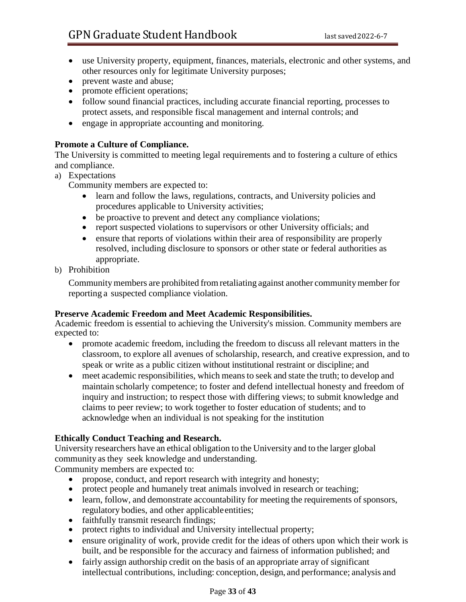- use University property, equipment, finances, materials, electronic and other systems, and other resources only for legitimate University purposes;
- prevent waste and abuse;
- promote efficient operations;
- follow sound financial practices, including accurate financial reporting, processes to protect assets, and responsible fiscal management and internal controls; and
- engage in appropriate accounting and monitoring.

#### **Promote a Culture of Compliance.**

The University is committed to meeting legal requirements and to fostering a culture of ethics and compliance.

- a) Expectations
	- Community members are expected to:
		- learn and follow the laws, regulations, contracts, and University policies and procedures applicable to University activities;
		- be proactive to prevent and detect any compliance violations;
		- report suspected violations to supervisors or other University officials; and
		- ensure that reports of violations within their area of responsibility are properly resolved, including disclosure to sponsors or other state or federal authorities as appropriate.
- b) Prohibition

Community members are prohibited from retaliating against another community member for reporting a suspected compliance violation.

#### **Preserve Academic Freedom and Meet Academic Responsibilities.**

Academic freedom is essential to achieving the University's mission. Community members are expected to:

- promote academic freedom, including the freedom to discuss all relevant matters in the classroom, to explore all avenues of scholarship, research, and creative expression, and to speak or write as a public citizen without institutional restraint or discipline; and
- meet academic responsibilities, which meansto seek and state the truth; to develop and maintain scholarly competence; to foster and defend intellectual honesty and freedom of inquiry and instruction; to respect those with differing views; to submit knowledge and claims to peer review; to work together to foster education of students; and to acknowledge when an individual is not speaking for the institution

#### **Ethically Conduct Teaching and Research.**

University researchers have an ethical obligation to the University and to the larger global community as they seek knowledge and understanding.

Community members are expected to:

- propose, conduct, and report research with integrity and honesty;
- protect people and humanely treat animals involved in research or teaching;
- learn, follow, and demonstrate accountability for meeting the requirements of sponsors, regulatory bodies, and other applicableentities;
- faithfully transmit research findings;
- protect rights to individual and University intellectual property;
- ensure originality of work, provide credit for the ideas of others upon which their work is built, and be responsible for the accuracy and fairness of information published; and
- fairly assign authorship credit on the basis of an appropriate array of significant intellectual contributions, including: conception, design, and performance; analysis and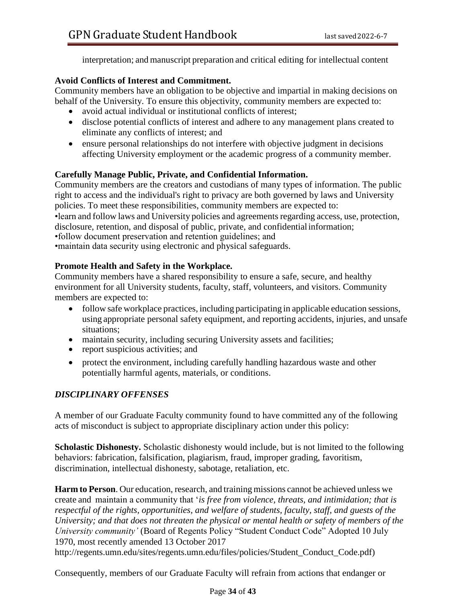interpretation; and manuscript preparation and critical editing for intellectual content

#### **Avoid Conflicts of Interest and Commitment.**

Community members have an obligation to be objective and impartial in making decisions on behalf of the University. To ensure this objectivity, community members are expected to:

- avoid actual individual or institutional conflicts of interest;
- disclose potential conflicts of interest and adhere to any management plans created to eliminate any conflicts of interest; and
- ensure personal relationships do not interfere with objective judgment in decisions affecting University employment or the academic progress of a community member.

## **Carefully Manage Public, Private, and Confidential Information.**

Community members are the creators and custodians of many types of information. The public right to access and the individual's right to privacy are both governed by laws and University policies. To meet these responsibilities, community members are expected to: •learn and follow laws and University policies and agreements regarding access, use, protection, disclosure, retention, and disposal of public, private, and confidentialinformation; •follow document preservation and retention guidelines; and •maintain data security using electronic and physical safeguards.

#### **Promote Health and Safety in the Workplace.**

Community members have a shared responsibility to ensure a safe, secure, and healthy environment for all University students, faculty, staff, volunteers, and visitors. Community members are expected to:

- follow safe workplace practices, including participating in applicable education sessions, using appropriate personal safety equipment, and reporting accidents, injuries, and unsafe situations;
- maintain security, including securing University assets and facilities;
- report suspicious activities; and
- protect the environment, including carefully handling hazardous waste and other potentially harmful agents, materials, or conditions.

## *DISCIPLINARY OFFENSES*

A member of our Graduate Faculty community found to have committed any of the following acts of misconduct is subject to appropriate disciplinary action under this policy:

**Scholastic Dishonesty.** Scholastic dishonesty would include, but is not limited to the following behaviors: fabrication, falsification, plagiarism, fraud, improper grading, favoritism, discrimination, intellectual dishonesty, sabotage, retaliation, etc.

**Harm to Person**. Our education, research, and training missions cannot be achieved unless we create and maintain a community that '*is free from violence, threats, and intimidation; that is respectful of the rights, opportunities, and welfare of students, faculty, staff, and guests of the University; and that does not threaten the physical or mental health or safety of members of the University community'* (Board of Regents Policy "Student Conduct Code" Adopted 10 July 1970, most recently amended 13 October 2017

[http://regents.umn.edu/sites/regents.umn.edu/files/policies/Student\\_Conduct\\_Code.pdf\)](http://regents.umn.edu/sites/regents.umn.edu/files/policies/Student_Conduct_Code.pdf))

Consequently, members of our Graduate Faculty will refrain from actions that endanger or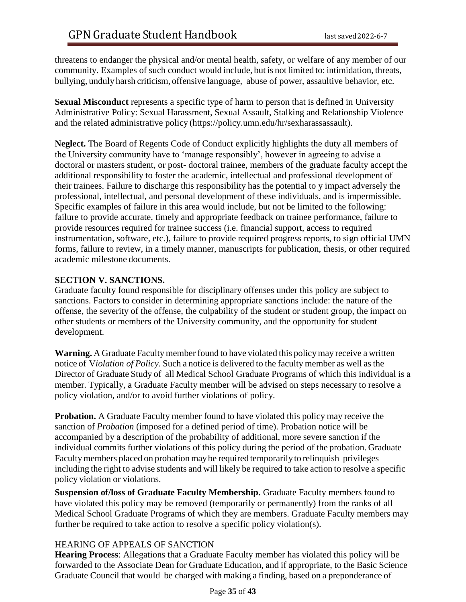threatens to endanger the physical and/or mental health, safety, or welfare of any member of our community. Examples of such conduct would include, but is not limited to: intimidation, threats, bullying, unduly harsh criticism, offensive language, abuse of power, assaultive behavior, etc.

**Sexual Misconduct** represents a specific type of harm to person that is defined in University Administrative Policy: Sexual Harassment, Sexual Assault, Stalking and Relationship Violence and the related administrative policy (https://policy.umn.edu/hr/sexharassassault).

**Neglect.** The Board of Regents Code of Conduct explicitly highlights the duty all members of the University community have to 'manage responsibly', however in agreeing to advise a doctoral or masters student, or post- doctoral trainee, members of the graduate faculty accept the additional responsibility to foster the academic, intellectual and professional development of their trainees. Failure to discharge this responsibility has the potential to y impact adversely the professional, intellectual, and personal development of these individuals, and is impermissible. Specific examples of failure in this area would include, but not be limited to the following: failure to provide accurate, timely and appropriate feedback on trainee performance, failure to provide resources required for trainee success (i.e. financial support, access to required instrumentation, software, etc.), failure to provide required progress reports, to sign official UMN forms, failure to review, in a timely manner, manuscripts for publication, thesis, or other required academic milestone documents.

#### **SECTION V. SANCTIONS.**

Graduate faculty found responsible for disciplinary offenses under this policy are subject to sanctions. Factors to consider in determining appropriate sanctions include: the nature of the offense, the severity of the offense, the culpability of the student or student group, the impact on other students or members of the University community, and the opportunity for student development.

**Warning.** A Graduate Faculty member found to have violated this policy may receive a written notice of V*iolation of Policy*. Such a notice is delivered to the faculty member as well asthe Director of Graduate Study of all Medical School Graduate Programs of which this individual is a member. Typically, a Graduate Faculty member will be advised on steps necessary to resolve a policy violation, and/or to avoid further violations of policy.

**Probation.** A Graduate Faculty member found to have violated this policy may receive the sanction of *Probation* (imposed for a defined period of time). Probation notice will be accompanied by a description of the probability of additional, more severe sanction if the individual commits further violations of this policy during the period of the probation. Graduate Facultymembers placed on probation may be required temporarily to relinquish privileges including the right to advise students and will likely be required to take action to resolve a specific policy violation or violations.

**Suspension of/loss of Graduate Faculty Membership.** Graduate Faculty members found to have violated this policy may be removed (temporarily or permanently) from the ranks of all Medical School Graduate Programs of which they are members. Graduate Faculty members may further be required to take action to resolve a specific policy violation(s).

## HEARING OF APPEALS OF SANCTION

**Hearing Process**: Allegations that a Graduate Faculty member has violated this policy will be forwarded to the Associate Dean for Graduate Education, and if appropriate, to the Basic Science Graduate Council that would be charged with making a finding, based on a preponderance of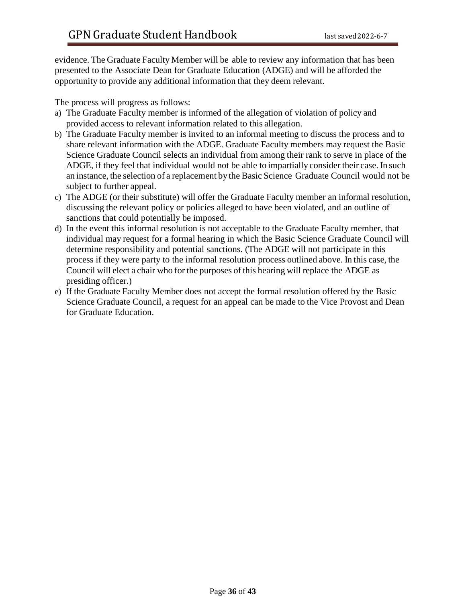evidence. The Graduate Faculty Member will be able to review any information that has been presented to the Associate Dean for Graduate Education (ADGE) and will be afforded the opportunity to provide any additional information that they deem relevant.

The process will progress as follows:

- a) The Graduate Faculty member is informed of the allegation of violation of policy and provided access to relevant information related to this allegation.
- b) The Graduate Faculty member is invited to an informal meeting to discuss the process and to share relevant information with the ADGE. Graduate Faculty members may request the Basic Science Graduate Council selects an individual from among their rank to serve in place of the ADGE, if they feel that individual would not be able to impartially consider their case. In such an instance, the selection of a replacement by the Basic Science Graduate Council would not be subject to further appeal.
- c) The ADGE (or their substitute) will offer the Graduate Faculty member an informal resolution, discussing the relevant policy or policies alleged to have been violated, and an outline of sanctions that could potentially be imposed.
- d) In the event this informal resolution is not acceptable to the Graduate Faculty member, that individual may request for a formal hearing in which the Basic Science Graduate Council will determine responsibility and potential sanctions. (The ADGE will not participate in this process if they were party to the informal resolution process outlined above. In this case, the Council will elect a chair who for the purposes of this hearing will replace the ADGE as presiding officer.)
- e) If the Graduate Faculty Member does not accept the formal resolution offered by the Basic Science Graduate Council, a request for an appeal can be made to the Vice Provost and Dean for Graduate Education.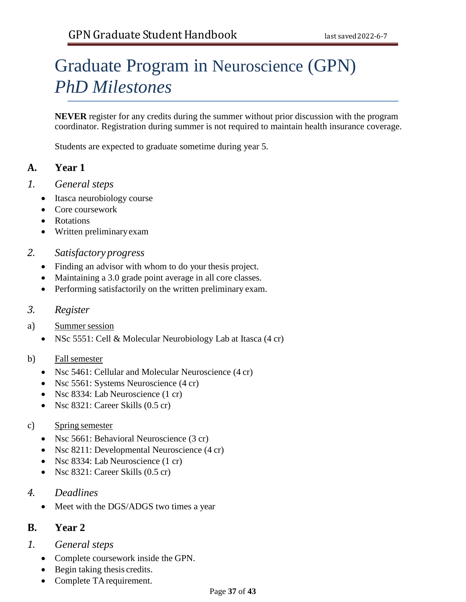# Graduate Program in Neuroscience (GPN) *PhD Milestones*

**NEVER** register for any credits during the summer without prior discussion with the program coordinator. Registration during summer is not required to maintain health insurance coverage.

Students are expected to graduate sometime during year 5.

# **A. Year 1**

- *1. General steps*
	- Itasca neurobiology course
	- Core coursework
	- Rotations
	- Written preliminaryexam

#### *2. Satisfactory progress*

- Finding an advisor with whom to do your thesis project.
- Maintaining a 3.0 grade point average in all core classes.
- Performing satisfactorily on the written preliminary exam.

## *3. Register*

- a) Summer session
	- NSc 5551: Cell & Molecular Neurobiology Lab at Itasca (4 cr)
- b) Fall semester
	- Nsc 5461: Cellular and Molecular Neuroscience (4 cr)
	- Nsc 5561: Systems Neuroscience (4 cr)
	- Nsc 8334: Lab Neuroscience (1 cr)
	- Nsc 8321: Career Skills (0.5 cr)

## c) Spring semester

- Nsc 5661: Behavioral Neuroscience (3 cr)
- Nsc 8211: Developmental Neuroscience (4 cr)
- Nsc 8334: Lab Neuroscience (1 cr)
- Nsc 8321: Career Skills (0.5 cr)
- *4. Deadlines*
	- Meet with the DGS/ADGS two times a year

## **B. Year 2**

- *1. General steps*
	- Complete coursework inside the GPN.
	- Begin taking thesis credits.
	- Complete TArequirement.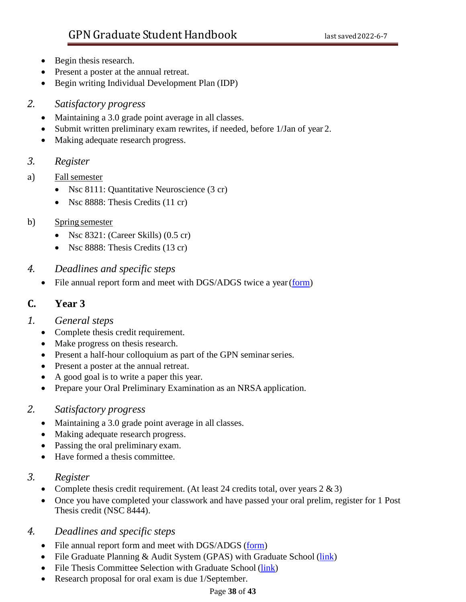- Begin thesis research.
- Present a poster at the annual retreat.
- Begin writing Individual Development Plan (IDP)

## *2. Satisfactory progress*

- Maintaining a 3.0 grade point average in all classes.
- Submit written preliminary exam rewrites, if needed, before 1/Jan of year 2.
- Making adequate research progress.

## *3. Register*

- a) Fallsemester
	- Nsc 8111: Quantitative Neuroscience (3 cr)
	- Nsc 8888: Thesis Credits (11 cr)

## b) Spring semester

- Nsc 8321: (Career Skills) (0.5 cr)
- Nsc 8888: Thesis Credits (13 cr)
- *4. Deadlines and specific steps*
	- File annual report form and meet with DGS/ADGS twice a year (form)

# **C. Year 3**

## *1. General steps*

- Complete thesis credit requirement.
- Make progress on thesis research.
- Present a half-hour colloquium as part of the GPN seminar series.
- Present a poster at the annual retreat.
- A good goal is to write a paper this year.
- Prepare your Oral Preliminary Examination as an NRSA application.

## *2. Satisfactory progress*

- Maintaining a 3.0 grade point average in all classes.
- Making adequate research progress.
- Passing the oral preliminary exam.
- Have formed a thesis committee.

## *3. Register*

- Complete thesis credit requirement. (At least 24 credits total, over years  $2 \& 3$ )
- Once you have completed your classwork and have passed your oral prelim, register for 1 Post Thesis credit (NSC 8444).

## *4. Deadlines and specific steps*

- File annual report form and meet with DGS/ADGS (form)
- File Graduate Planning & Audit System (GPAS) with Graduate School [\(link\)](https://onestop.umn.edu/academics/graduate-student-services-and-progress-gssp)
- File Thesis Committee Selection with Graduate [School](https://onestop.umn.edu/academics/graduate-student-services-and-progress-gssp) (link)
- Research proposal for oral exam is due 1/September.

## Page **38** of **43**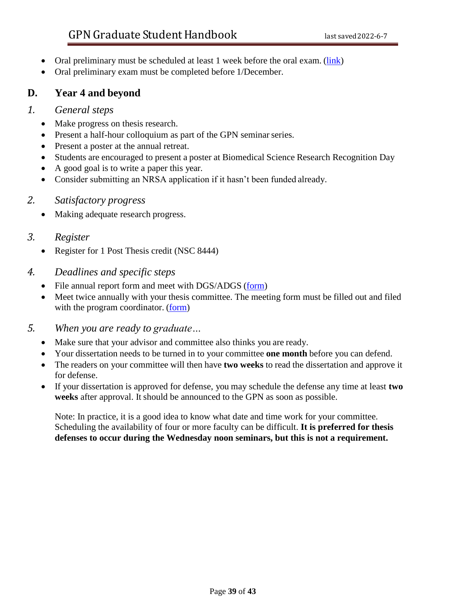- Oral preliminary must be scheduled at least 1 week before the oral exam. [\(link\)](https://onestop.umn.edu/academics/graduate-student-services-and-progress-gssp)
- Oral preliminary exam must be completed before 1/December.

# **D. Year 4 and beyond**

## *1. General steps*

- Make progress on thesis research.
- Present a half-hour colloquium as part of the GPN seminar series.
- Present a poster at the annual retreat.
- Students are encouraged to present a poster at Biomedical Science Research Recognition Day
- A good goal is to write a paper this year.
- Consider submitting an NRSA application if it hasn't been funded already.

## *2. Satisfactory progress*

• Making adequate research progress.

## *3. Register*

- Register for 1 Post Thesis credit (NSC 8444)
- *4. Deadlines and specific steps*
	- File annual report form and meet with DGS/ADGS (form)
	- Meet twice annually with your thesis committee. The meeting form must be filled out and filed with the program coordinator. (form)
- *5. When you are ready to graduate…*
	- Make sure that your advisor and committee also thinks you are ready.
	- Your dissertation needs to be turned in to your committee **one month** before you can defend.
	- The readers on your committee will then have **two weeks** to read the dissertation and approve it for defense.
	- If your dissertation is approved for defense, you may schedule the defense any time at least **two weeks** after approval. It should be announced to the GPN as soon as possible.

Note: In practice, it is a good idea to know what date and time work for your committee. Scheduling the availability of four or more faculty can be difficult. **It is preferred for thesis defenses to occur during the Wednesday noon seminars, but this is not a requirement.**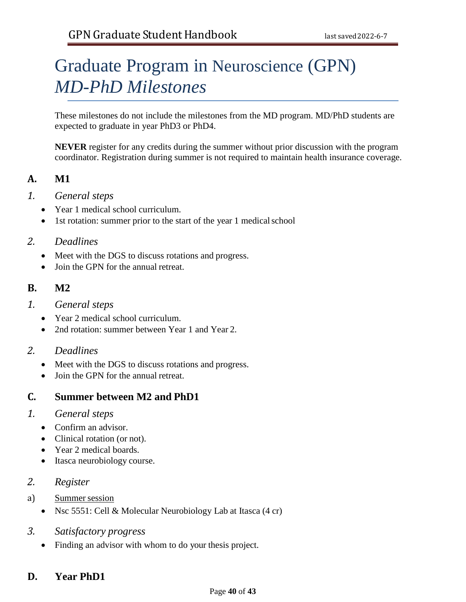# Graduate Program in Neuroscience (GPN) *MD-PhD Milestones*

These milestones do not include the milestones from the MD program. MD/PhD students are expected to graduate in year PhD3 or PhD4.

**NEVER** register for any credits during the summer without prior discussion with the program coordinator. Registration during summer is not required to maintain health insurance coverage.

# **A. M1**

- *1. General steps*
	- Year 1 medical school curriculum.
	- 1st rotation: summer prior to the start of the year 1 medical school

## *2. Deadlines*

- Meet with the DGS to discuss rotations and progress.
- Join the GPN for the annual retreat.

## **B. M2**

- *1. General steps*
	- Year 2 medical school curriculum.
	- 2nd rotation: summer between Year 1 and Year 2.

## *2. Deadlines*

- Meet with the DGS to discuss rotations and progress.
- Join the GPN for the annual retreat.

# **C. Summer between M2 and PhD1**

## *1. General steps*

- Confirm an advisor.
- Clinical rotation (or not).
- Year 2 medical boards.
- Itasca neurobiology course.

## *2. Register*

- a) Summer session
	- Nsc 5551: Cell & Molecular Neurobiology Lab at Itasca (4 cr)
- *3. Satisfactory progress*
	- Finding an advisor with whom to do your thesis project.

# **D. Year PhD1**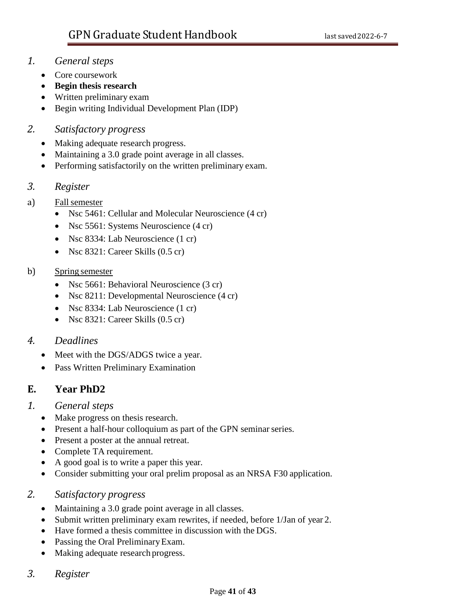## *1. General steps*

- Core coursework
- **Begin thesis research**
- Written preliminary exam
- Begin writing Individual Development Plan (IDP)

## *2. Satisfactory progress*

- Making adequate research progress.
- Maintaining a 3.0 grade point average in all classes.
- Performing satisfactorily on the written preliminary exam.

## *3. Register*

- a) Fallsemester
	- Nsc 5461: Cellular and Molecular Neuroscience (4 cr)
	- Nsc 5561: Systems Neuroscience (4 cr)
	- Nsc 8334: Lab Neuroscience (1 cr)
	- Nsc 8321: Career Skills (0.5 cr)

## b) Spring semester

- Nsc 5661: Behavioral Neuroscience (3 cr)
- Nsc 8211: Developmental Neuroscience (4 cr)
- Nsc 8334: Lab Neuroscience (1 cr)
- Nsc 8321: Career Skills (0.5 cr)

## *4. Deadlines*

- Meet with the DGS/ADGS twice a year.
- Pass Written Preliminary Examination

# **E. Year PhD2**

## *1. General steps*

- Make progress on thesis research.
- Present a half-hour colloquium as part of the GPN seminar series.
- Present a poster at the annual retreat.
- Complete TA requirement.
- A good goal is to write a paper this year.
- Consider submitting your oral prelim proposal as an NRSA F30 application.
- *2. Satisfactory progress*
	- Maintaining a 3.0 grade point average in all classes.
	- Submit written preliminary exam rewrites, if needed, before 1/Jan of year 2.
	- Have formed a thesis committee in discussion with the DGS.
	- Passing the Oral PreliminaryExam.
	- Making adequate research progress.
- *3. Register*

## Page **41** of **43**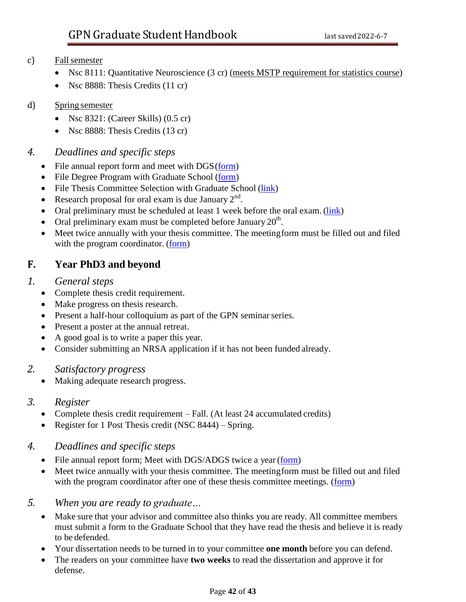## c) Fallsemester

- Nsc 8111: Quantitative Neuroscience (3 cr) (meets MSTP requirement for statistics course)
- Nsc 8888: Thesis Credits (11 cr)

## d) Spring semester

- Nsc  $8321$ : (Career Skills)  $(0.5 \text{ cr})$
- Nsc 8888: Thesis Credits (13 cr)

## *4. Deadlines and specific steps*

- File annual report form and meet with  $DGS(\underline{form})$
- File Degree Program with Graduate School [\(form\)](https://onestop.umn.edu/sites/onestop.umn.edu/files/forms/otr198_graduate_degree_plan.pdf)
- File Thesis Committee Selection with Graduate School [\(link\)](https://onestop.umn.edu/academics/examination-committees)
- Research proposal for oral exam is due January  $2<sup>nd</sup>$ .
- Oral preliminary must be scheduled at least 1 week before the [oral exam.](https://onestop.umn.edu/academics/doctoral-oral-exam-scheduling) (link)
- Oral preliminary exam must be completed before January  $20<sup>th</sup>$ .
- Meet twice annually with your thesis committee. The meetingform must be filled out and filed with the program coordinator. (form)

# **F. Year PhD3 and beyond**

## *1. General steps*

- Complete thesis credit requirement.
- Make progress on thesis research.
- Present a half-hour colloquium as part of the GPN seminar series.
- Present a poster at the annual retreat.
- A good goal is to write a paper this year.
- Consider submitting an NRSA application if it has not been funded already.

## *2. Satisfactory progress*

• Making adequate research progress.

## *3. Register*

- Complete thesis credit requirement Fall. (At least 24 accumulated credits)
- Register for 1 Post Thesis credit (NSC 8444) Spring.

## *4. Deadlines and specific steps*

- File annual report form; Meet with DGS/ADGS twice a year (form)
- Meet twice annually with your thesis committee. The meetingform must be filled out and filed with the program coordinator after one of these thesis committee meetings. (form)

## *5. When you are ready to graduate…*

- Make sure that your advisor and committee also thinks you are ready. All committee members must submit a form to the Graduate School that they have read the thesis and believe it is ready to be defended.
- Your dissertation needs to be turned in to your committee **one month** before you can defend.
- The readers on your committee have **two weeks** to read the dissertation and approve it for defense.